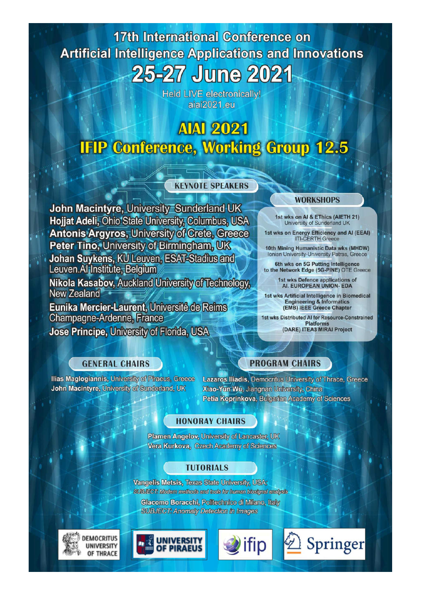# 17th International Conference on **Artificial Intelligence Applications and Innovations 25-27 June 2021**

**Held LIVE electronically!** ajai2021.eu

# **AIAI 2021 IFIP Conference, Working Group 12.5**

**KEYNOTE SPEAKERS** 

John Macintyre, University Sunderland UK Hojjat Adeli, Ohio State University, Columbus, USA **Antonis Argyros, University of Crete, Greece** Peter Tino, University of Birmingham, UK Johan Suykens, KU Leuven, ESAT-Stadius and Leuven.Al Institute, Belgium

Nikola Kasabov, Auckland University of Technology. New Zealand

Eunika Mercier-Laurent, Université de Reims Champagne-Ardenne, France Jose Principe, University of Florida, USA

# **WORKSHOPS**

1st wks on Al & EThics (AIETH 21) University of Sunderland UK

1st wks on Energy Efficiency and AI (EEAI)<br>ITI-CERTH Greece

10th Mining Humanistic Data wks (MHDW) Ionian University-University Patras, Greeci

6th wks on 5G Putting Intelligence<br>to the Network Edge (5G-PINE) OTE Greece

1st wks Defence applications of<br>AI. EUROPEAN UNION-EDA

1st wks Artificial Intelligence in Biomedical Engineering & Informatics<br>(EMB) IEEE Greece Chapter

1st wks Distributed AI for Resource-Constrained Platforms<br>(DARE) ITEA3 MIRAI Project

Springer

# **GENERAL CHAIRS**

**Ilias Maglogiannis, University of Piraeus, Greece** John Macintyre, University of Sunderland, UK

# **PROGRAM CHAIRS**

**Lazaros Iliadis, Democritus University of Thrace, Greece** Xiao-Yun Wu, Jiangnan University, China Petia Koprinkova, Bulgarian Academy of Sciences

# **HONORAY CHAIRS**

Plamen Angelov, University of Lancaster, UK Vera Kurkova, Czech Academy of Sciences

# **TUTORIALS**

**Vangelis Metsis, Texas State University, USA: SUBJECT: Modern methods and tools for human biosignal analysis** 

Giacomo Boracchi, Politechnico di Milano, Italy **SUBJECT: Anomaly Detection in Images** 





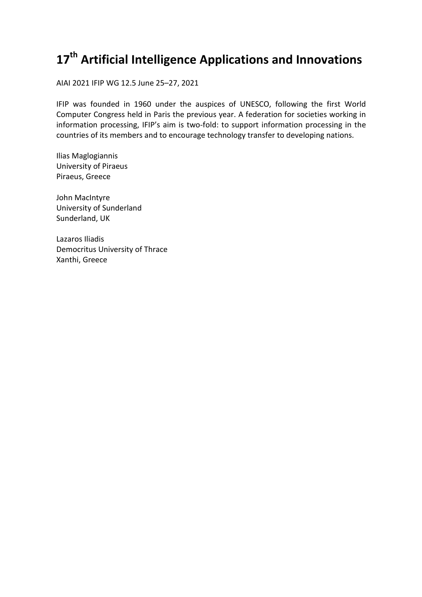# **17th Artificial Intelligence Applications and Innovations**

AIAI 2021 IFIP WG 12.5 June 25–27, 2021

IFIP was founded in 1960 under the auspices of UNESCO, following the first World Computer Congress held in Paris the previous year. A federation for societies working in information processing, IFIP's aim is two-fold: to support information processing in the countries of its members and to encourage technology transfer to developing nations.

Ilias Maglogiannis University of Piraeus Piraeus, Greece

John MacIntyre University of Sunderland Sunderland, UK

Lazaros Iliadis Democritus University of Thrace Xanthi, Greece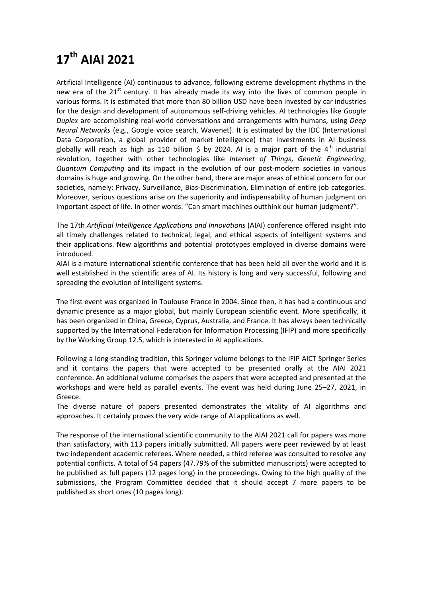# **17th AIAI 2021**

Artificial Intelligence (AI) continuous to advance, following extreme development rhythms in the new era of the  $21<sup>st</sup>$  century. It has already made its way into the lives of common people in various forms. It is estimated that more than 80 billion USD have been invested by car industries for the design and development of autonomous self-driving vehicles. AI technologies like *Google Duplex* are accomplishing real-world conversations and arrangements with humans, using *Deep Neural Networks* (e.g., Google voice search, Wavenet). It is estimated by the IDC (International Data Corporation, a global provider of market intelligence) that investments in AI business globally will reach as high as 110 billion  $\zeta$  by 2024. Al is a major part of the 4<sup>th</sup> industrial revolution, together with other technologies like *Internet of Things*, *Genetic Engineering*, *Quantum Computing* and its impact in the evolution of our post-modern societies in various domains is huge and growing. On the other hand, there are major areas of ethical concern for our societies, namely: Privacy, Surveillance, Bias-Discrimination, Elimination of entire job categories. Moreover, serious questions arise on the superiority and indispensability of human judgment on important aspect of life. In other words: "Can smart machines outthink our human judgment?".

The 17th *Artificial Intelligence Applications and Innovations* (AIAI) conference offered insight into all timely challenges related to technical, legal, and ethical aspects of intelligent systems and their applications. New algorithms and potential prototypes employed in diverse domains were introduced.

AIAI is a mature international scientific conference that has been held all over the world and it is well established in the scientific area of AI. Its history is long and very successful, following and spreading the evolution of intelligent systems.

The first event was organized in Toulouse France in 2004. Since then, it has had a continuous and dynamic presence as a major global, but mainly European scientific event. More specifically, it has been organized in China, Greece, Cyprus, Australia, and France. It has always been technically supported by the International Federation for Information Processing (IFIP) and more specifically by the Working Group 12.5, which is interested in AI applications.

Following a long-standing tradition, this Springer volume belongs to the IFIP AICT Springer Series and it contains the papers that were accepted to be presented orally at the AIAI 2021 conference. An additional volume comprises the papers that were accepted and presented at the workshops and were held as parallel events. The event was held during June 25–27, 2021, in Greece.

The diverse nature of papers presented demonstrates the vitality of AI algorithms and approaches. It certainly proves the very wide range of AI applications as well.

The response of the international scientific community to the AIAI 2021 call for papers was more than satisfactory, with 113 papers initially submitted. All papers were peer reviewed by at least two independent academic referees. Where needed, a third referee was consulted to resolve any potential conflicts. A total of 54 papers (47.79% of the submitted manuscripts) were accepted to be published as full papers (12 pages long) in the proceedings. Owing to the high quality of the submissions, the Program Committee decided that it should accept 7 more papers to be published as short ones (10 pages long).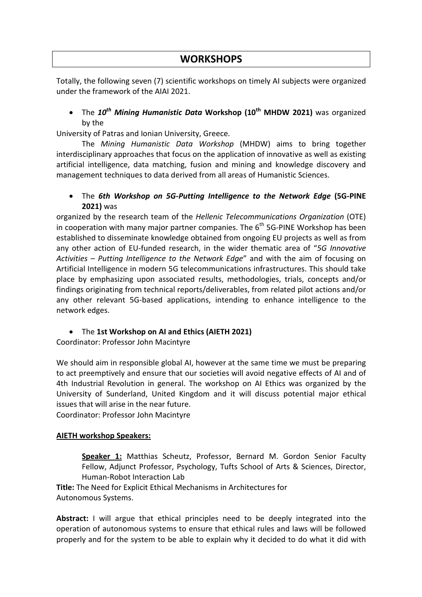# **WORKSHOPS**

Totally, the following seven (7) scientific workshops on timely AI subjects were organized under the framework of the AIAI 2021.

• The *10th Mining Humanistic Data* **Workshop (10th MHDW 2021)** was organized by the

University of Patras and Ionian University, Greece.

The *Mining Humanistic Data Workshop* (MHDW) aims to bring together interdisciplinary approaches that focus on the application of innovative as well as existing artificial intelligence, data matching, fusion and mining and knowledge discovery and management techniques to data derived from all areas of Humanistic Sciences.

• The *6th Workshop on 5G-Putting Intelligence to the Network Edge* **(5G-PINE 2021)** was

organized by the research team of the *Hellenic Telecommunications Organization* (OTE) in cooperation with many major partner companies. The  $6<sup>th</sup>$  5G-PINE Workshop has been established to disseminate knowledge obtained from ongoing EU projects as well as from any other action of EU-funded research, in the wider thematic area of "*5G Innovative Activities – Putting Intelligence to the Network Edge*" and with the aim of focusing on Artificial Intelligence in modern 5G telecommunications infrastructures. This should take place by emphasizing upon associated results, methodologies, trials, concepts and/or findings originating from technical reports/deliverables, from related pilot actions and/or any other relevant 5G-based applications, intending to enhance intelligence to the network edges.

• The **1st Workshop on AI and Ethics (AIETH 2021)**

Coordinator: Professor John Macintyre

We should aim in responsible global AI, however at the same time we must be preparing to act preemptively and ensure that our societies will avoid negative effects of AI and of 4th Industrial Revolution in general. The workshop on AI Ethics was organized by the University of Sunderland, United Kingdom and it will discuss potential major ethical issues that will arise in the near future.

Coordinator: Professor John Macintyre

# **AIETH workshop Speakers:**

**Speaker 1:** Matthias Scheutz, Professor, Bernard M. Gordon Senior Faculty Fellow, Adjunct Professor, Psychology, Tufts School of Arts & Sciences, Director, Human-Robot Interaction Lab

**Title:** The Need for Explicit Ethical Mechanisms in Architectures for Autonomous Systems.

**Abstract:** I will argue that ethical principles need to be deeply integrated into the operation of autonomous systems to ensure that ethical rules and laws will be followed properly and for the system to be able to explain why it decided to do what it did with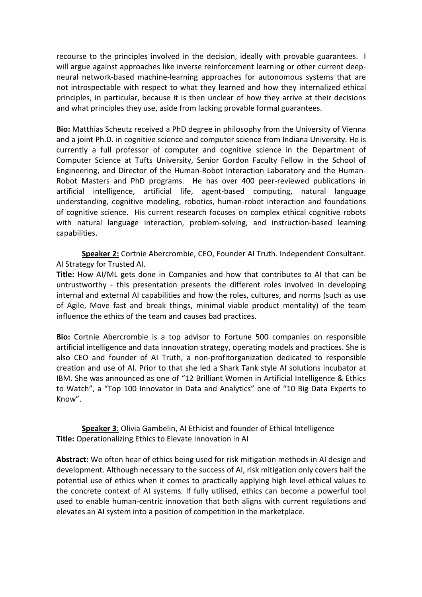recourse to the principles involved in the decision, ideally with provable guarantees. I will argue against approaches like inverse reinforcement learning or other current deepneural network-based machine-learning approaches for autonomous systems that are not introspectable with respect to what they learned and how they internalized ethical principles, in particular, because it is then unclear of how they arrive at their decisions and what principles they use, aside from lacking provable formal guarantees.

**Bio:** Matthias Scheutz received a PhD degree in philosophy from the University of Vienna and a joint Ph.D. in cognitive science and computer science from Indiana University. He is currently a full professor of computer and cognitive science in the Department of Computer Science at Tufts University, Senior Gordon Faculty Fellow in the School of Engineering, and Director of the Human-Robot Interaction Laboratory and the Human-Robot Masters and PhD programs. He has over 400 peer-reviewed publications in artificial intelligence, artificial life, agent-based computing, natural language understanding, cognitive modeling, robotics, human-robot interaction and foundations of cognitive science. His current research focuses on complex ethical cognitive robots with natural language interaction, problem-solving, and instruction-based learning capabilities.

**Speaker 2:** Cortnie Abercrombie, CEO, Founder AI Truth. Independent Consultant. AI Strategy for Trusted AI.

**Title:** How AI/ML gets done in Companies and how that contributes to AI that can be untrustworthy - this presentation presents the different roles involved in developing internal and external AI capabilities and how the roles, cultures, and norms (such as use of Agile, Move fast and break things, minimal viable product mentality) of the team influence the ethics of the team and causes bad practices.

**Bio:** Cortnie Abercrombie is a top advisor to Fortune 500 companies on responsible artificial intelligence and data innovation strategy, operating models and practices. She is also CEO and founder of AI Truth, a non-profitorganization dedicated to responsible creation and use of AI. Prior to that she led a Shark Tank style AI solutions incubator at IBM. She was announced as one of "12 Brilliant Women in Artificial Intelligence & Ethics to Watch", a "Top 100 Innovator in Data and Analytics" one of "10 Big Data Experts to Know".

**Speaker 3**: Olivia Gambelin, AI Ethicist and founder of Ethical Intelligence **Title:** Operationalizing Ethics to Elevate Innovation in AI

**Abstract:** We often hear of ethics being used for risk mitigation methods in AI design and development. Although necessary to the success of AI, risk mitigation only covers half the potential use of ethics when it comes to practically applying high level ethical values to the concrete context of AI systems. If fully utilised, ethics can become a powerful tool used to enable human-centric innovation that both aligns with current regulations and elevates an AI system into a position of competition in the marketplace.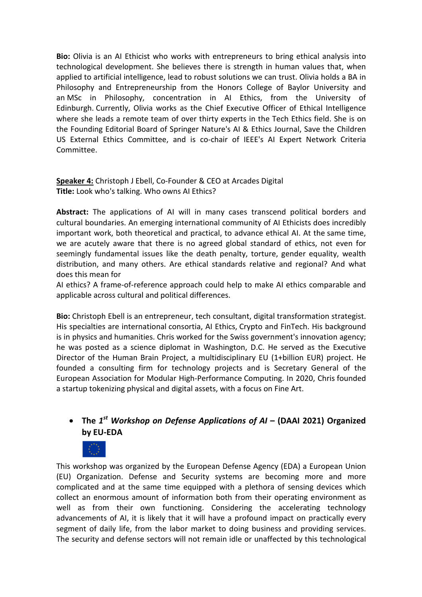**Bio:** Olivia is an AI Ethicist who works with entrepreneurs to bring ethical analysis into technological development. She believes there is strength in human values that, when applied to artificial intelligence, lead to robust solutions we can trust. Olivia holds a BA in Philosophy and Entrepreneurship from the Honors College of Baylor University and an MSc in Philosophy, concentration in AI Ethics, from the University of Edinburgh. Currently, Olivia works as the Chief Executive Officer of Ethical Intelligence where she leads a remote team of over thirty experts in the Tech Ethics field. She is on the Founding Editorial Board of Springer Nature's AI & Ethics Journal, Save the Children US External Ethics Committee, and is co-chair of IEEE's AI Expert Network Criteria Committee.

**Speaker 4:** Christoph J Ebell, Co-Founder & CEO at Arcades Digital **Title:** Look who's talking. Who owns AI Ethics?

**Abstract:** The applications of AI will in many cases transcend political borders and cultural boundaries. An emerging international community of AI Ethicists does incredibly important work, both theoretical and practical, to advance ethical AI. At the same time, we are acutely aware that there is no agreed global standard of ethics, not even for seemingly fundamental issues like the death penalty, torture, gender equality, wealth distribution, and many others. Are ethical standards relative and regional? And what does this mean for

AI ethics? A frame-of-reference approach could help to make AI ethics comparable and applicable across cultural and political differences.

**Bio:** Christoph Ebell is an entrepreneur, tech consultant, digital transformation strategist. His specialties are international consortia, AI Ethics, Crypto and FinTech. His background is in physics and humanities. Chris worked for the Swiss government's innovation agency; he was posted as a science diplomat in Washington, D.C. He served as the Executive Director of the Human Brain Project, a multidisciplinary EU (1+billion EUR) project. He founded a consulting firm for technology projects and is Secretary General of the European Association for Modular High-Performance Computing. In 2020, Chris founded a startup tokenizing physical and digital assets, with a focus on Fine Art.

# • **The** *1 st Workshop on Defense Applications of AI* **– (DAAI 2021) Organized by EU-EDA**



This workshop was organized by the European Defense Agency (EDA) a European Union (EU) Organization. Defense and Security systems are becoming more and more complicated and at the same time equipped with a plethora of sensing devices which collect an enormous amount of information both from their operating environment as well as from their own functioning. Considering the accelerating technology advancements of AI, it is likely that it will have a profound impact on practically every segment of daily life, from the labor market to doing business and providing services. The security and defense sectors will not remain idle or unaffected by this technological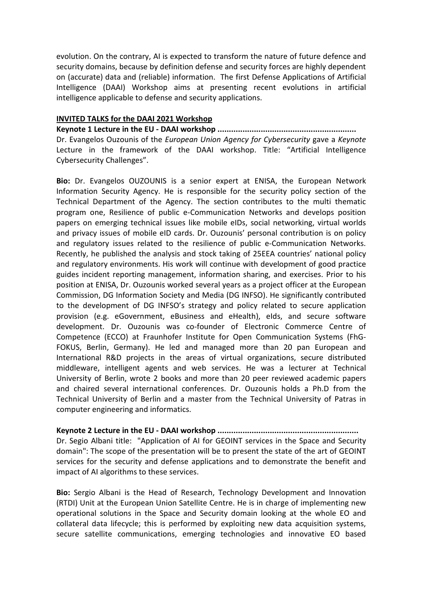evolution. On the contrary, AI is expected to transform the nature of future defence and security domains, because by definition defense and security forces are highly dependent on (accurate) data and (reliable) information. The first Defense Applications of Artificial Intelligence (DAAI) Workshop aims at presenting recent evolutions in artificial intelligence applicable to defense and security applications.

## **INVITED TALKS for the DAAI 2021 Workshop**

# **Keynote 1 Lecture in the EU - DAAI workshop .............................................................**

Dr. Evangelos Ouzounis of the *European Union Agency for Cybersecurity* gave a *Keynote* Lecture in the framework of the DAAI workshop. Title: "Artificial Intelligence Cybersecurity Challenges".

**Bio:** Dr. Evangelos OUZOUNIS is a senior expert at ENISA, the European Network Information Security Agency. He is responsible for the security policy section of the Technical Department of the Agency. The section contributes to the multi thematic program one, Resilience of public e-Communication Networks and develops position papers on emerging technical issues like mobile eIDs, social networking, virtual worlds and privacy issues of mobile eID cards. Dr. Ouzounis' personal contribution is on policy and regulatory issues related to the resilience of public e-Communication Networks. Recently, he published the analysis and stock taking of 25EEA countries' national policy and regulatory environments. His work will continue with development of good practice guides incident reporting management, information sharing, and exercises. Prior to his position at ENISA, Dr. Ouzounis worked several years as a project officer at the European Commission, DG Information Society and Media (DG INFSO). He significantly contributed to the development of DG INFSO's strategy and policy related to secure application provision (e.g. eGovernment, eBusiness and eHealth), eIds, and secure software development. Dr. Ouzounis was co-founder of Electronic Commerce Centre of Competence (ECCO) at Fraunhofer Institute for Open Communication Systems (FhG-FOKUS, Berlin, Germany). He led and managed more than 20 pan European and International R&D projects in the areas of virtual organizations, secure distributed middleware, intelligent agents and web services. He was a lecturer at Technical University of Berlin, wrote 2 books and more than 20 peer reviewed academic papers and chaired several international conferences. Dr. Ouzounis holds a Ph.D from the Technical University of Berlin and a master from the Technical University of Patras in computer engineering and informatics.

# **Keynote 2 Lecture in the EU - DAAI workshop ..............................................................**

Dr. Segio Albani title: "Application of AI for GEOINT services in the Space and Security domain": The scope of the presentation will be to present the state of the art of GEOINT services for the security and defense applications and to demonstrate the benefit and impact of AI algorithms to these services.

**Bio:** Sergio Albani is the Head of Research, Technology Development and Innovation (RTDI) Unit at the European Union Satellite Centre. He is in charge of implementing new operational solutions in the Space and Security domain looking at the whole EO and collateral data lifecycle; this is performed by exploiting new data acquisition systems, secure satellite communications, emerging technologies and innovative EO based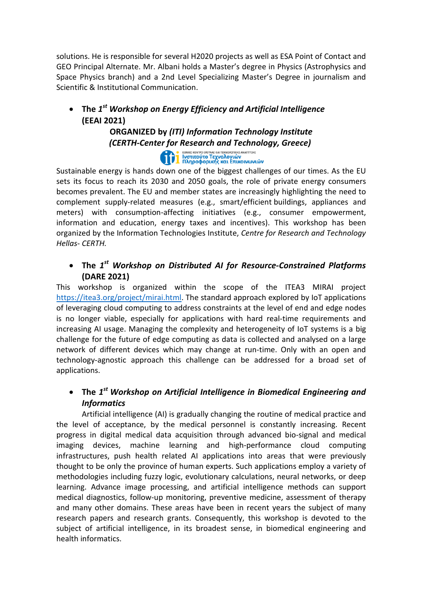solutions. He is responsible for several H2020 projects as well as ESA Point of Contact and GEO Principal Alternate. Mr. Albani holds a Master's degree in Physics (Astrophysics and Space Physics branch) and a 2nd Level Specializing Master's Degree in journalism and Scientific & Institutional Communication.

# • **The** *1 st Workshop on Energy Efficiency and Artificial Intelligence* **(EEAI 2021)**

# **ORGANIZED by** *(ITI) Information Technology Institute (CERTH-Center for Research and Technology, Greece)*<br>
<sup>1</sup> *Ι Ινστιτούτο Τεχνολογιών*<br>
<sup>1</sup> Πληροφορικής και Επικοινωνιών

Sustainable energy is hands down one of the biggest challenges of our times. As the EU sets its focus to reach its 2030 and 2050 goals, the role of private energy consumers becomes prevalent. The EU and member states are increasingly highlighting the need to complement supply-related measures (e.g., smart/efficient buildings, appliances and meters) with consumption-affecting initiatives (e.g., consumer empowerment, information and education, energy taxes and incentives). This workshop has been organized by the Information Technologies Institute, *Centre for Research and Technology Hellas- CERTH.*

# • **The** *1 st Workshop on Distributed AI for Resource-Constrained Platforms* **(DARE 2021)**

This workshop is organized within the scope of the ITEA3 MIRAI project https://itea3.org/project/mirai.html. The standard approach explored by IoT applications of leveraging cloud computing to address constraints at the level of end and edge nodes is no longer viable, especially for applications with hard real-time requirements and increasing AI usage. Managing the complexity and heterogeneity of IoT systems is a big challenge for the future of edge computing as data is collected and analysed on a large network of different devices which may change at run-time. Only with an open and technology-agnostic approach this challenge can be addressed for a broad set of applications.

• **The** *1 st Workshop on Artificial Intelligence in Biomedical Engineering and Informatics* 

Artificial intelligence (AI) is gradually changing the routine of medical practice and the level of acceptance, by the medical personnel is constantly increasing. Recent progress in digital medical data acquisition through advanced bio-signal and medical imaging devices, machine learning and high-performance cloud computing infrastructures, push health related AI applications into areas that were previously thought to be only the province of human experts. Such applications employ a variety of methodologies including fuzzy logic, evolutionary calculations, neural networks, or deep learning. Advance image processing, and artificial intelligence methods can support medical diagnostics, follow-up monitoring, preventive medicine, assessment of therapy and many other domains. These areas have been in recent years the subject of many research papers and research grants. Consequently, this workshop is devoted to the subject of artificial intelligence, in its broadest sense, in biomedical engineering and health informatics.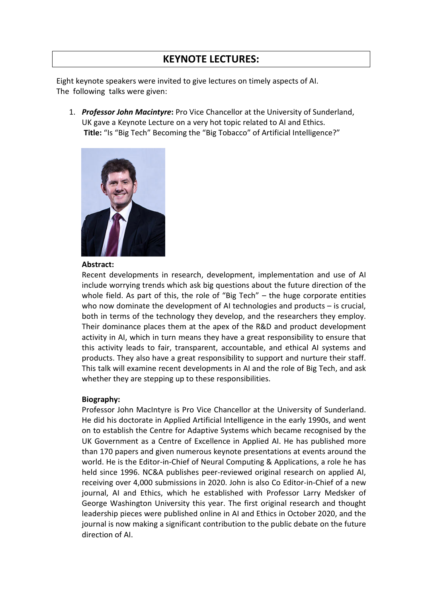# **KEYNOTE LECTURES:**

Eight keynote speakers were invited to give lectures on timely aspects of AI. The following talks were given:

1. *Professor John Macintyre***:** Pro Vice Chancellor at the University of Sunderland, UK gave a Keynote Lecture on a very hot topic related to AI and Ethics. **Title:** "Is "Big Tech" Becoming the "Big Tobacco" of Artificial Intelligence?"



#### **Abstract:**

Recent developments in research, development, implementation and use of AI include worrying trends which ask big questions about the future direction of the whole field. As part of this, the role of "Big Tech" – the huge corporate entities who now dominate the development of AI technologies and products – is crucial, both in terms of the technology they develop, and the researchers they employ. Their dominance places them at the apex of the R&D and product development activity in AI, which in turn means they have a great responsibility to ensure that this activity leads to fair, transparent, accountable, and ethical AI systems and products. They also have a great responsibility to support and nurture their staff. This talk will examine recent developments in AI and the role of Big Tech, and ask whether they are stepping up to these responsibilities.

## **Biography:**

Professor John MacIntyre is Pro Vice Chancellor at the University of Sunderland. He did his doctorate in Applied Artificial Intelligence in the early 1990s, and went on to establish the Centre for Adaptive Systems which became recognised by the UK Government as a Centre of Excellence in Applied AI. He has published more than 170 papers and given numerous keynote presentations at events around the world. He is the Editor-in-Chief of Neural Computing & Applications, a role he has held since 1996. NC&A publishes peer-reviewed original research on applied AI, receiving over 4,000 submissions in 2020. John is also Co Editor-in-Chief of a new journal, AI and Ethics, which he established with Professor Larry Medsker of George Washington University this year. The first original research and thought leadership pieces were published online in AI and Ethics in October 2020, and the journal is now making a significant contribution to the public debate on the future direction of AI.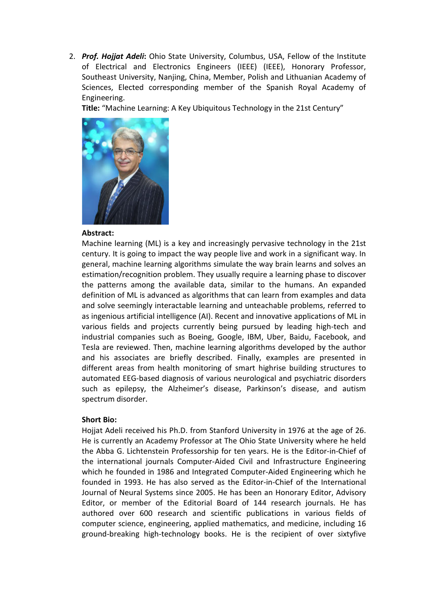2. *Prof. Hojjat Adeli***:** Ohio State University, Columbus, USA, Fellow of the Institute of Electrical and Electronics Engineers (IEEE) (IEEE), Honorary Professor, Southeast University, Nanjing, China, Member, Polish and Lithuanian Academy of Sciences, Elected corresponding member of the Spanish Royal Academy of Engineering.

**Title:** "Machine Learning: A Key Ubiquitous Technology in the 21st Century"



### **Abstract:**

Machine learning (ML) is a key and increasingly pervasive technology in the 21st century. It is going to impact the way people live and work in a significant way. In general, machine learning algorithms simulate the way brain learns and solves an estimation/recognition problem. They usually require a learning phase to discover the patterns among the available data, similar to the humans. An expanded definition of ML is advanced as algorithms that can learn from examples and data and solve seemingly interactable learning and unteachable problems, referred to as ingenious artificial intelligence (AI). Recent and innovative applications of ML in various fields and projects currently being pursued by leading high-tech and industrial companies such as Boeing, Google, IBM, Uber, Baidu, Facebook, and Tesla are reviewed. Then, machine learning algorithms developed by the author and his associates are briefly described. Finally, examples are presented in different areas from health monitoring of smart highrise building structures to automated EEG-based diagnosis of various neurological and psychiatric disorders such as epilepsy, the Alzheimer's disease, Parkinson's disease, and autism spectrum disorder.

## **Short Bio:**

Hojjat Adeli received his Ph.D. from Stanford University in 1976 at the age of 26. He is currently an Academy Professor at The Ohio State University where he held the Abba G. Lichtenstein Professorship for ten years. He is the Editor-in-Chief of the international journals Computer-Aided Civil and Infrastructure Engineering which he founded in 1986 and Integrated Computer-Aided Engineering which he founded in 1993. He has also served as the Editor-in-Chief of the International Journal of Neural Systems since 2005. He has been an Honorary Editor, Advisory Editor, or member of the Editorial Board of 144 research journals. He has authored over 600 research and scientific publications in various fields of computer science, engineering, applied mathematics, and medicine, including 16 ground-breaking high-technology books. He is the recipient of over sixtyfive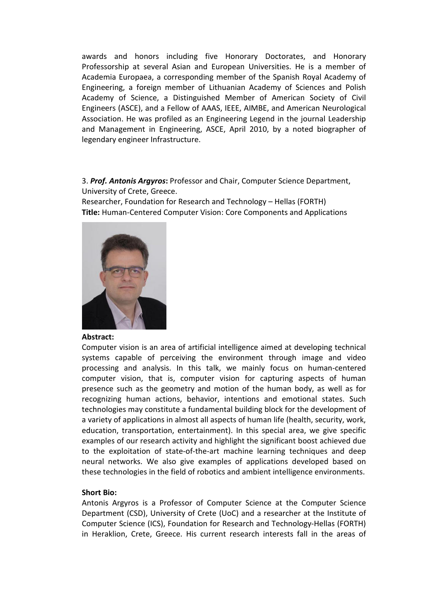awards and honors including five Honorary Doctorates, and Honorary Professorship at several Asian and European Universities. He is a member of Academia Europaea, a corresponding member of the Spanish Royal Academy of Engineering, a foreign member of Lithuanian Academy of Sciences and Polish Academy of Science, a Distinguished Member of American Society of Civil Engineers (ASCE), and a Fellow of AAAS, IEEE, AIMBE, and American Neurological Association. He was profiled as an Engineering Legend in the journal Leadership and Management in Engineering, ASCE, April 2010, by a noted biographer of legendary engineer Infrastructure.

3. *Prof. Antonis Argyros***:** Professor and Chair, Computer Science Department, University of Crete, Greece.

Researcher, Foundation for Research and Technology – Hellas (FORTH) **Title:** Human-Centered Computer Vision: Core Components and Applications



#### **Abstract:**

Computer vision is an area of artificial intelligence aimed at developing technical systems capable of perceiving the environment through image and video processing and analysis. In this talk, we mainly focus on human-centered computer vision, that is, computer vision for capturing aspects of human presence such as the geometry and motion of the human body, as well as for recognizing human actions, behavior, intentions and emotional states. Such technologies may constitute a fundamental building block for the development of a variety of applications in almost all aspects of human life (health, security, work, education, transportation, entertainment). In this special area, we give specific examples of our research activity and highlight the significant boost achieved due to the exploitation of state-of-the-art machine learning techniques and deep neural networks. We also give examples of applications developed based on these technologies in the field of robotics and ambient intelligence environments.

#### **Short Bio:**

Antonis Argyros is a Professor of Computer Science at the Computer Science Department (CSD), University of Crete (UoC) and a researcher at the Institute of Computer Science (ICS), Foundation for Research and Technology-Hellas (FORTH) in Heraklion, Crete, Greece. His current research interests fall in the areas of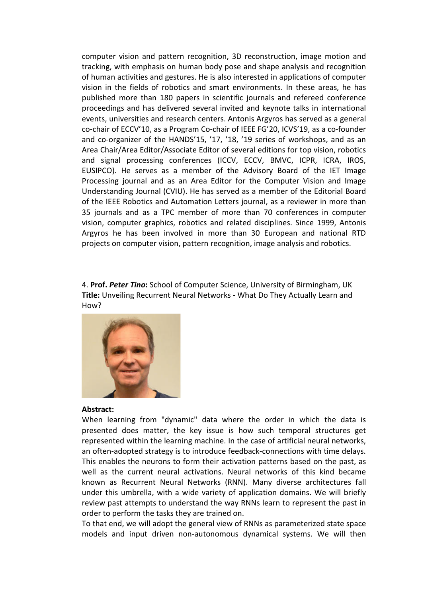computer vision and pattern recognition, 3D reconstruction, image motion and tracking, with emphasis on human body pose and shape analysis and recognition of human activities and gestures. He is also interested in applications of computer vision in the fields of robotics and smart environments. In these areas, he has published more than 180 papers in scientific journals and refereed conference proceedings and has delivered several invited and keynote talks in international events, universities and research centers. Antonis Argyros has served as a general co-chair of ECCV'10, as a Program Co-chair of IEEE FG'20, ICVS'19, as a co-founder and co-organizer of the HANDS'15, '17, '18, '19 series of workshops, and as an Area Chair/Area Editor/Associate Editor of several editions for top vision, robotics and signal processing conferences (ICCV, ECCV, BMVC, ICPR, ICRA, IROS, EUSIPCO). He serves as a member of the Advisory Board of the IET Image Processing journal and as an Area Editor for the Computer Vision and Image Understanding Journal (CVIU). He has served as a member of the Editorial Board of the IEEE Robotics and Automation Letters journal, as a reviewer in more than 35 journals and as a TPC member of more than 70 conferences in computer vision, computer graphics, robotics and related disciplines. Since 1999, Antonis Argyros he has been involved in more than 30 European and national RTD projects on computer vision, pattern recognition, image analysis and robotics.

4. **Prof.** *Peter Tino***:** School of Computer Science, University of Birmingham, UK **Title:** Unveiling Recurrent Neural Networks - What Do They Actually Learn and How?



#### **Abstract:**

When learning from "dynamic" data where the order in which the data is presented does matter, the key issue is how such temporal structures get represented within the learning machine. In the case of artificial neural networks, an often-adopted strategy is to introduce feedback-connections with time delays. This enables the neurons to form their activation patterns based on the past, as well as the current neural activations. Neural networks of this kind became known as Recurrent Neural Networks (RNN). Many diverse architectures fall under this umbrella, with a wide variety of application domains. We will briefly review past attempts to understand the way RNNs learn to represent the past in order to perform the tasks they are trained on.

To that end, we will adopt the general view of RNNs as parameterized state space models and input driven non-autonomous dynamical systems. We will then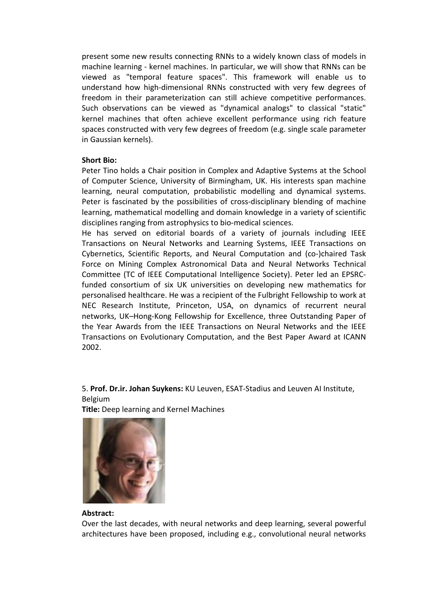present some new results connecting RNNs to a widely known class of models in machine learning - kernel machines. In particular, we will show that RNNs can be viewed as "temporal feature spaces". This framework will enable us to understand how high-dimensional RNNs constructed with very few degrees of freedom in their parameterization can still achieve competitive performances. Such observations can be viewed as "dynamical analogs" to classical "static" kernel machines that often achieve excellent performance using rich feature spaces constructed with very few degrees of freedom (e.g. single scale parameter in Gaussian kernels).

### **Short Bio:**

Peter Tino holds a Chair position in Complex and Adaptive Systems at the School of Computer Science, University of Birmingham, UK. His interests span machine learning, neural computation, probabilistic modelling and dynamical systems. Peter is fascinated by the possibilities of cross-disciplinary blending of machine learning, mathematical modelling and domain knowledge in a variety of scientific disciplines ranging from astrophysics to bio-medical sciences.

He has served on editorial boards of a variety of journals including IEEE Transactions on Neural Networks and Learning Systems, IEEE Transactions on Cybernetics, Scientific Reports, and Neural Computation and (co-)chaired Task Force on Mining Complex Astronomical Data and Neural Networks Technical Committee (TC of IEEE Computational Intelligence Society). Peter led an EPSRCfunded consortium of six UK universities on developing new mathematics for personalised healthcare. He was a recipient of the Fulbright Fellowship to work at NEC Research Institute, Princeton, USA, on dynamics of recurrent neural networks, UK–Hong-Kong Fellowship for Excellence, three Outstanding Paper of the Year Awards from the IEEE Transactions on Neural Networks and the IEEE Transactions on Evolutionary Computation, and the Best Paper Award at ICANN 2002.

5. **Prof. Dr.ir. Johan Suykens:** KU Leuven, ESAT-Stadius and Leuven AI Institute, Belgium

**Title:** Deep learning and Kernel Machines



#### **Abstract:**

Over the last decades, with neural networks and deep learning, several powerful architectures have been proposed, including e.g., convolutional neural networks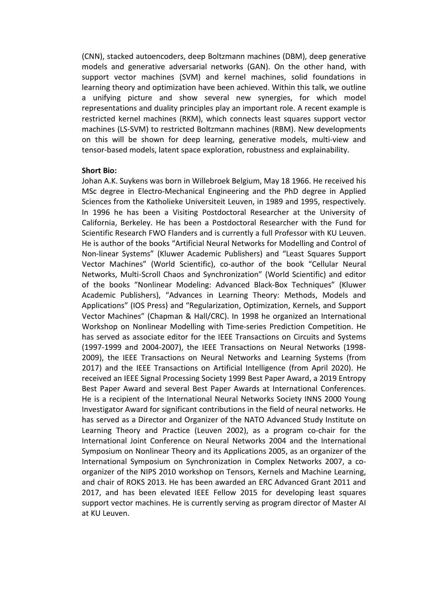(CNN), stacked autoencoders, deep Boltzmann machines (DBM), deep generative models and generative adversarial networks (GAN). On the other hand, with support vector machines (SVM) and kernel machines, solid foundations in learning theory and optimization have been achieved. Within this talk, we outline a unifying picture and show several new synergies, for which model representations and duality principles play an important role. A recent example is restricted kernel machines (RKM), which connects least squares support vector machines (LS-SVM) to restricted Boltzmann machines (RBM). New developments on this will be shown for deep learning, generative models, multi-view and tensor-based models, latent space exploration, robustness and explainability.

#### **Short Bio:**

Johan A.K. Suykens was born in Willebroek Belgium, May 18 1966. He received his MSc degree in Electro-Mechanical Engineering and the PhD degree in Applied Sciences from the Katholieke Universiteit Leuven, in 1989 and 1995, respectively. In 1996 he has been a Visiting Postdoctoral Researcher at the University of California, Berkeley. He has been a Postdoctoral Researcher with the Fund for Scientific Research FWO Flanders and is currently a full Professor with KU Leuven. He is author of the books "Artificial Neural Networks for Modelling and Control of Non-linear Systems" (Kluwer Academic Publishers) and "Least Squares Support Vector Machines" (World Scientific), co-author of the book "Cellular Neural Networks, Multi-Scroll Chaos and Synchronization" (World Scientific) and editor of the books "Nonlinear Modeling: Advanced Black-Box Techniques" (Kluwer Academic Publishers), "Advances in Learning Theory: Methods, Models and Applications" (IOS Press) and "Regularization, Optimization, Kernels, and Support Vector Machines" (Chapman & Hall/CRC). In 1998 he organized an International Workshop on Nonlinear Modelling with Time-series Prediction Competition. He has served as associate editor for the IEEE Transactions on Circuits and Systems (1997-1999 and 2004-2007), the IEEE Transactions on Neural Networks (1998- 2009), the IEEE Transactions on Neural Networks and Learning Systems (from 2017) and the IEEE Transactions on Artificial Intelligence (from April 2020). He received an IEEE Signal Processing Society 1999 Best Paper Award, a 2019 Entropy Best Paper Award and several Best Paper Awards at International Conferences. He is a recipient of the International Neural Networks Society INNS 2000 Young Investigator Award for significant contributions in the field of neural networks. He has served as a Director and Organizer of the NATO Advanced Study Institute on Learning Theory and Practice (Leuven 2002), as a program co-chair for the International Joint Conference on Neural Networks 2004 and the International Symposium on Nonlinear Theory and its Applications 2005, as an organizer of the International Symposium on Synchronization in Complex Networks 2007, a coorganizer of the NIPS 2010 workshop on Tensors, Kernels and Machine Learning, and chair of ROKS 2013. He has been awarded an ERC Advanced Grant 2011 and 2017, and has been elevated IEEE Fellow 2015 for developing least squares support vector machines. He is currently serving as program director of Master AI at KU Leuven.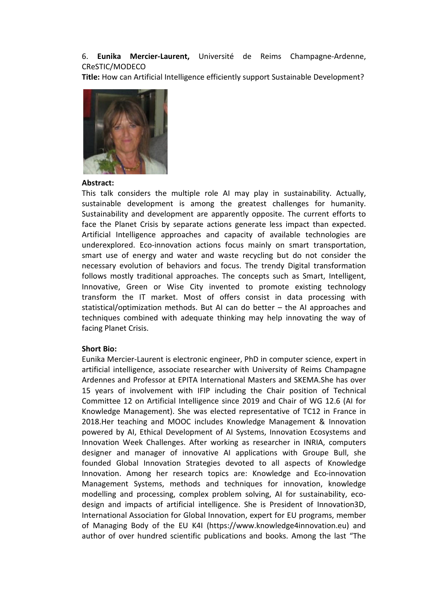# 6. **Eunika Mercier-Laurent,** Université de Reims Champagne-Ardenne, CReSTIC/MODECO

**Title:** How can Artificial Intelligence efficiently support Sustainable Development?



#### **Abstract:**

This talk considers the multiple role AI may play in sustainability. Actually, sustainable development is among the greatest challenges for humanity. Sustainability and development are apparently opposite. The current efforts to face the Planet Crisis by separate actions generate less impact than expected. Artificial Intelligence approaches and capacity of available technologies are underexplored. Eco-innovation actions focus mainly on smart transportation, smart use of energy and water and waste recycling but do not consider the necessary evolution of behaviors and focus. The trendy Digital transformation follows mostly traditional approaches. The concepts such as Smart, Intelligent, Innovative, Green or Wise City invented to promote existing technology transform the IT market. Most of offers consist in data processing with statistical/optimization methods. But AI can do better – the AI approaches and techniques combined with adequate thinking may help innovating the way of facing Planet Crisis.

#### **Short Bio:**

Eunika Mercier-Laurent is electronic engineer, PhD in computer science, expert in artificial intelligence, associate researcher with University of Reims Champagne Ardennes and Professor at EPITA International Masters and SKEMA.She has over 15 years of involvement with IFIP including the Chair position of Technical Committee 12 on Artificial Intelligence since 2019 and Chair of WG 12.6 (AI for Knowledge Management). She was elected representative of TC12 in France in 2018.Her teaching and MOOC includes Knowledge Management & Innovation powered by AI, Ethical Development of AI Systems, Innovation Ecosystems and Innovation Week Challenges. After working as researcher in INRIA, computers designer and manager of innovative AI applications with Groupe Bull, she founded Global Innovation Strategies devoted to all aspects of Knowledge Innovation. Among her research topics are: Knowledge and Eco-innovation Management Systems, methods and techniques for innovation, knowledge modelling and processing, complex problem solving, AI for sustainability, ecodesign and impacts of artificial intelligence. She is President of Innovation3D, International Association for Global Innovation, expert for EU programs, member of Managing Body of the EU K4I (https://www.knowledge4innovation.eu) and author of over hundred scientific publications and books. Among the last "The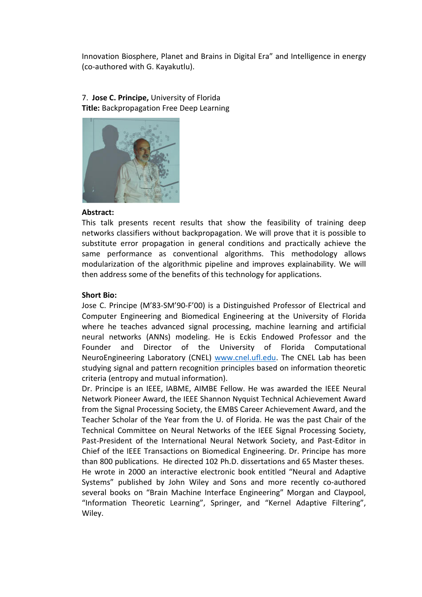Innovation Biosphere, Planet and Brains in Digital Era" and Intelligence in energy (co-authored with G. Kayakutlu).

# 7. **Jose C. Principe,** University of Florida **Title:** Backpropagation Free Deep Learning



## **Abstract:**

This talk presents recent results that show the feasibility of training deep networks classifiers without backpropagation. We will prove that it is possible to substitute error propagation in general conditions and practically achieve the same performance as conventional algorithms. This methodology allows modularization of the algorithmic pipeline and improves explainability. We will then address some of the benefits of this technology for applications.

# **Short Bio:**

Jose C. Principe (M'83-SM'90-F'00) is a Distinguished Professor of Electrical and Computer Engineering and Biomedical Engineering at the University of Florida where he teaches advanced signal processing, machine learning and artificial neural networks (ANNs) modeling. He is Eckis Endowed Professor and the Founder and Director of the University of Florida Computational NeuroEngineering Laboratory (CNEL) www.cnel.ufl.edu. The CNEL Lab has been studying signal and pattern recognition principles based on information theoretic criteria (entropy and mutual information).

Dr. Principe is an IEEE, IABME, AIMBE Fellow. He was awarded the IEEE Neural Network Pioneer Award, the IEEE Shannon Nyquist Technical Achievement Award from the Signal Processing Society, the EMBS Career Achievement Award, and the Teacher Scholar of the Year from the U. of Florida. He was the past Chair of the Technical Committee on Neural Networks of the IEEE Signal Processing Society, Past-President of the International Neural Network Society, and Past-Editor in Chief of the IEEE Transactions on Biomedical Engineering. Dr. Principe has more than 800 publications. He directed 102 Ph.D. dissertations and 65 Master theses. He wrote in 2000 an interactive electronic book entitled "Neural and Adaptive Systems" published by John Wiley and Sons and more recently co-authored several books on "Brain Machine Interface Engineering" Morgan and Claypool, "Information Theoretic Learning", Springer, and "Kernel Adaptive Filtering", Wiley.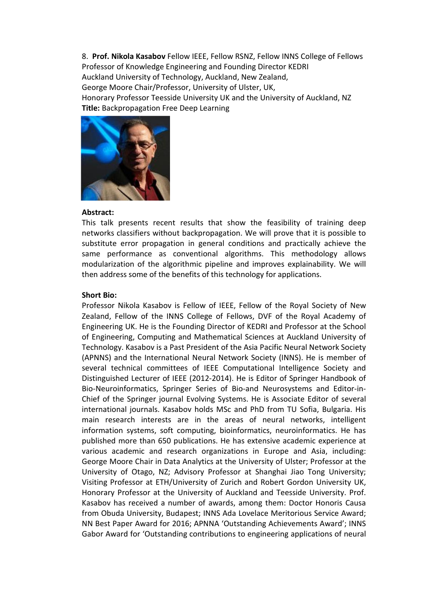8. **Prof. Nikola Kasabov** Fellow IEEE, Fellow RSNZ, Fellow INNS College of Fellows Professor of Knowledge Engineering and Founding Director KEDRI Auckland University of Technology, Auckland, New Zealand, George Moore Chair/Professor, University of Ulster, UK, Honorary Professor Teesside University UK and the University of Auckland, NZ **Title:** Backpropagation Free Deep Learning



#### **Abstract:**

This talk presents recent results that show the feasibility of training deep networks classifiers without backpropagation. We will prove that it is possible to substitute error propagation in general conditions and practically achieve the same performance as conventional algorithms. This methodology allows modularization of the algorithmic pipeline and improves explainability. We will then address some of the benefits of this technology for applications.

## **Short Bio:**

Professor Nikola Kasabov is Fellow of IEEE, Fellow of the Royal Society of New Zealand, Fellow of the INNS College of Fellows, DVF of the Royal Academy of Engineering UK. He is the Founding Director of KEDRI and Professor at the School of Engineering, Computing and Mathematical Sciences at Auckland University of Technology. Kasabov is a Past President of the Asia Pacific Neural Network Society (APNNS) and the International Neural Network Society (INNS). He is member of several technical committees of IEEE Computational Intelligence Society and Distinguished Lecturer of IEEE (2012-2014). He is Editor of Springer Handbook of Bio-Neuroinformatics, Springer Series of Bio-and Neurosystems and Editor-in-Chief of the Springer journal Evolving Systems. He is Associate Editor of several international journals. Kasabov holds MSc and PhD from TU Sofia, Bulgaria. His main research interests are in the areas of neural networks, intelligent information systems, soft computing, bioinformatics, neuroinformatics. He has published more than 650 publications. He has extensive academic experience at various academic and research organizations in Europe and Asia, including: George Moore Chair in Data Analytics at the University of Ulster; Professor at the University of Otago, NZ; Advisory Professor at Shanghai Jiao Tong University; Visiting Professor at ETH/University of Zurich and Robert Gordon University UK, Honorary Professor at the University of Auckland and Teesside University. Prof. Kasabov has received a number of awards, among them: Doctor Honoris Causa from Obuda University, Budapest; INNS Ada Lovelace Meritorious Service Award; NN Best Paper Award for 2016; APNNA 'Outstanding Achievements Award'; INNS Gabor Award for 'Outstanding contributions to engineering applications of neural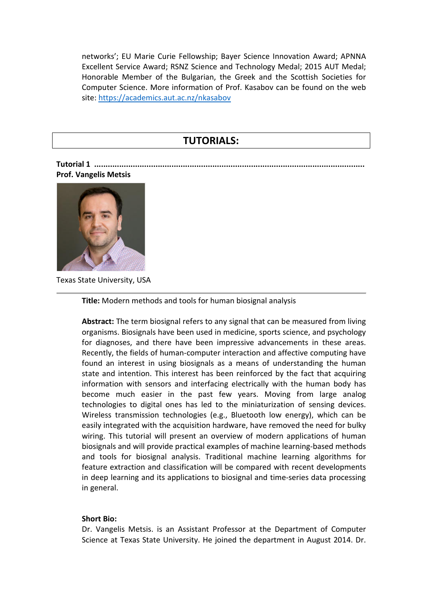networks'; EU Marie Curie Fellowship; Bayer Science Innovation Award; APNNA Excellent Service Award; RSNZ Science and Technology Medal; 2015 AUT Medal; Honorable Member of the Bulgarian, the Greek and the Scottish Societies for Computer Science. More information of Prof. Kasabov can be found on the web site: https://academics.aut.ac.nz/nkasabov

# **TUTORIALS:**

**Tutorial 1 ....................................................................................................................... Prof. Vangelis Metsis** 



Texas State University, USA

**Title:** Modern methods and tools for human biosignal analysis

**Abstract:** The term biosignal refers to any signal that can be measured from living organisms. Biosignals have been used in medicine, sports science, and psychology for diagnoses, and there have been impressive advancements in these areas. Recently, the fields of human-computer interaction and affective computing have found an interest in using biosignals as a means of understanding the human state and intention. This interest has been reinforced by the fact that acquiring information with sensors and interfacing electrically with the human body has become much easier in the past few years. Moving from large analog technologies to digital ones has led to the miniaturization of sensing devices. Wireless transmission technologies (e.g., Bluetooth low energy), which can be easily integrated with the acquisition hardware, have removed the need for bulky wiring. This tutorial will present an overview of modern applications of human biosignals and will provide practical examples of machine learning-based methods and tools for biosignal analysis. Traditional machine learning algorithms for feature extraction and classification will be compared with recent developments in deep learning and its applications to biosignal and time-series data processing in general.

#### **Short Bio:**

Dr. Vangelis Metsis. is an Assistant Professor at the Department of Computer Science at Texas State University. He joined the department in August 2014. Dr.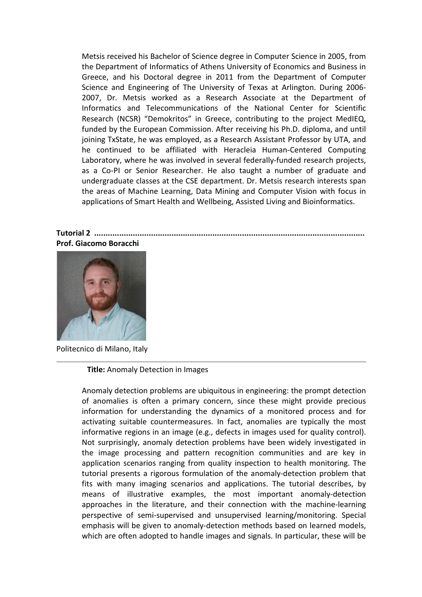Metsis received his Bachelor of Science degree in Computer Science in 2005, from the Department of Informatics of Athens University of Economics and Business in Greece, and his Doctoral degree in 2011 from the Department of Computer Science and Engineering of The University of Texas at Arlington. During 2006- 2007, Dr. Metsis worked as a Research Associate at the Department of Informatics and Telecommunications of the National Center for Scientific Research (NCSR) "Demokritos" in Greece, contributing to the project MedIEQ, funded by the European Commission. After receiving his Ph.D. diploma, and until joining TxState, he was employed, as a Research Assistant Professor by UTA, and he continued to be affiliated with Heracleia Human-Centered Computing Laboratory, where he was involved in several federally-funded research projects, as a Co-PI or Senior Researcher. He also taught a number of graduate and undergraduate classes at the CSE department. Dr. Metsis research interests span the areas of Machine Learning, Data Mining and Computer Vision with focus in applications of Smart Health and Wellbeing, Assisted Living and Bioinformatics.

# **Tutorial 2 ....................................................................................................................... Prof. Giacomo Boracchi**



Politecnico di Milano, Italy

**Title:** Anomaly Detection in Images

Anomaly detection problems are ubiquitous in engineering: the prompt detection of anomalies is often a primary concern, since these might provide precious information for understanding the dynamics of a monitored process and for activating suitable countermeasures. In fact, anomalies are typically the most informative regions in an image (e.g., defects in images used for quality control). Not surprisingly, anomaly detection problems have been widely investigated in the image processing and pattern recognition communities and are key in application scenarios ranging from quality inspection to health monitoring. The tutorial presents a rigorous formulation of the anomaly-detection problem that fits with many imaging scenarios and applications. The tutorial describes, by means of illustrative examples, the most important anomaly-detection approaches in the literature, and their connection with the machine-learning perspective of semi-supervised and unsupervised learning/monitoring. Special emphasis will be given to anomaly-detection methods based on learned models, which are often adopted to handle images and signals. In particular, these will be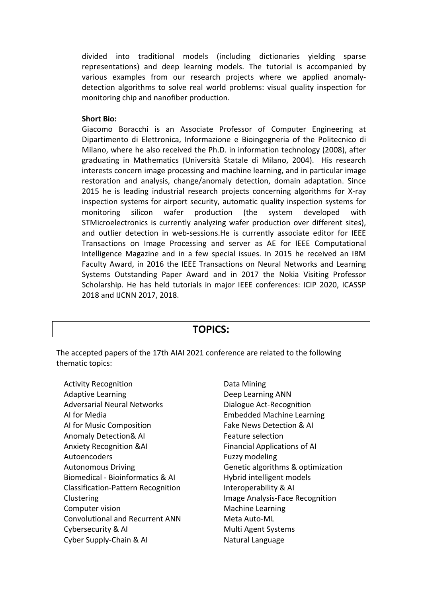divided into traditional models (including dictionaries yielding sparse representations) and deep learning models. The tutorial is accompanied by various examples from our research projects where we applied anomalydetection algorithms to solve real world problems: visual quality inspection for monitoring chip and nanofiber production.

## **Short Bio:**

Giacomo Boracchi is an Associate Professor of Computer Engineering at Dipartimento di Elettronica, Informazione e Bioingegneria of the Politecnico di Milano, where he also received the Ph.D. in information technology (2008), after graduating in Mathematics (Università Statale di Milano, 2004). His research interests concern image processing and machine learning, and in particular image restoration and analysis, change/anomaly detection, domain adaptation. Since 2015 he is leading industrial research projects concerning algorithms for X-ray inspection systems for airport security, automatic quality inspection systems for monitoring silicon wafer production (the system developed with STMicroelectronics is currently analyzing wafer production over different sites), and outlier detection in web-sessions.He is currently associate editor for IEEE Transactions on Image Processing and server as AE for IEEE Computational Intelligence Magazine and in a few special issues. In 2015 he received an IBM Faculty Award, in 2016 the IEEE Transactions on Neural Networks and Learning Systems Outstanding Paper Award and in 2017 the Nokia Visiting Professor Scholarship. He has held tutorials in major IEEE conferences: ICIP 2020, ICASSP 2018 and IJCNN 2017, 2018.

# **TOPICS:**

The accepted papers of the 17th AIAI 2021 conference are related to the following thematic topics:

Activity Recognition Adaptive Learning Adversarial Neural Networks AI for Media AI for Music Composition Anomaly Detection& AI Anxiety Recognition &AI Autoencoders Autonomous Driving Biomedical - Bioinformatics & AI Classification-Pattern Recognition Clustering Computer vision Convolutional and Recurrent ANN Cybersecurity & AI Cyber Supply-Chain & AI

Data Mining Deep Learning ANN Dialogue Act-Recognition Embedded Machine Learning Fake News Detection & AI Feature selection Financial Applications of AI Fuzzy modeling Genetic algorithms & optimization Hybrid intelligent models Interoperability & AI Image Analysis-Face Recognition Machine Learning Meta Auto-ML Multi Agent Systems Natural Language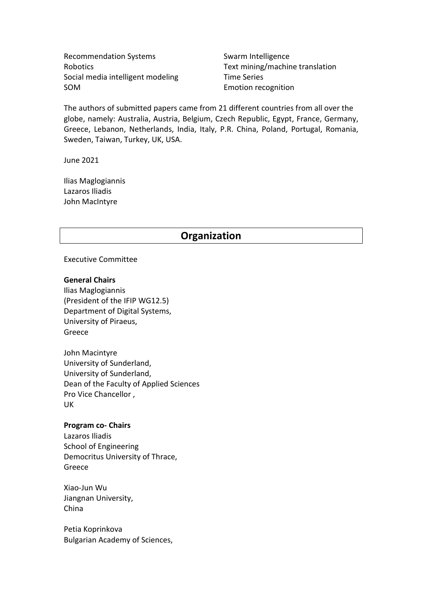Recommendation Systems Robotics Social media intelligent modeling SOM

Swarm Intelligence Text mining/machine translation Time Series Emotion recognition

The authors of submitted papers came from 21 different countries from all over the globe, namely: Australia, Austria, Belgium, Czech Republic, Egypt, France, Germany, Greece, Lebanon, Netherlands, India, Italy, P.R. China, Poland, Portugal, Romania, Sweden, Taiwan, Turkey, UK, USA.

June 2021

Ilias Maglogiannis Lazaros Iliadis John MacIntyre

# **Organization**

Executive Committee

#### **General Chairs**

Ilias Maglogiannis (President of the IFIP WG12.5) Department of Digital Systems, University of Piraeus, Greece

John Macintyre University of Sunderland, University of Sunderland, Dean of the Faculty of Applied Sciences Pro Vice Chancellor , UK

#### **Program co- Chairs**

Lazaros Iliadis School of Engineering Democritus University of Thrace, Greece

Xiao-Jun Wu Jiangnan University, China

Petia Koprinkova Bulgarian Academy of Sciences,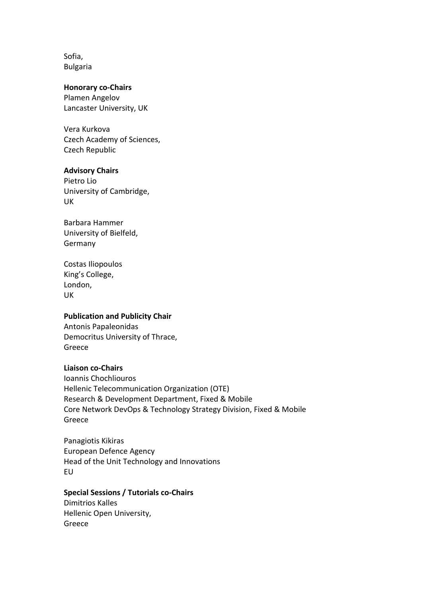Sofia, Bulgaria

#### **Honorary co-Chairs**

Plamen Angelov Lancaster University, UK

Vera Kurkova Czech Academy of Sciences, Czech Republic

#### **Advisory Chairs**

Pietro Lio University of Cambridge, UK

Barbara Hammer University of Bielfeld, Germany

Costas Iliopoulos King's College, London, UK

## **Publication and Publicity Chair**

Antonis Papaleonidas Democritus University of Thrace, Greece

## **Liaison co-Chairs**

Ioannis Chochliouros Hellenic Telecommunication Organization (OTE) Research & Development Department, Fixed & Mobile Core Network DevOps & Technology Strategy Division, Fixed & Mobile Greece

Panagiotis Kikiras European Defence Agency Head of the Unit Technology and Innovations EU

# **Special Sessions / Tutorials co-Chairs**

Dimitrios Kalles Hellenic Open University, Greece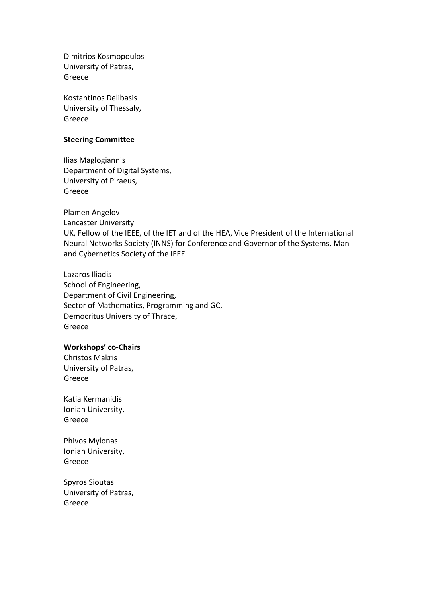Dimitrios Kosmopoulos University of Patras, Greece

Kostantinos Delibasis University of Thessaly, Greece

#### **Steering Committee**

Ilias Maglogiannis Department of Digital Systems, University of Piraeus, Greece

Plamen Angelov Lancaster University UK, Fellow of the IEEE, of the IET and of the HEA, Vice President of the International Neural Networks Society (INNS) for Conference and Governor of the Systems, Man and Cybernetics Society of the IEEE

Lazaros Iliadis School of Engineering, Department of Civil Engineering, Sector of Mathematics, Programming and GC, Democritus University of Thrace, Greece

# **Workshops' co-Chairs**

Christos Makris University of Patras, Greece

Katia Kermanidis Ionian University, Greece

Phivos Mylonas Ionian University, Greece

Spyros Sioutas University of Patras, Greece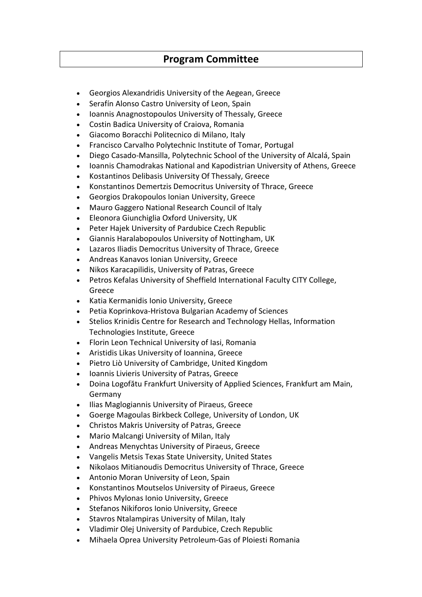# **Program Committee**

- Georgios Alexandridis University of the Aegean, Greece
- Serafín Alonso Castro University of Leon, Spain
- Ioannis Anagnostopoulos University of Thessaly, Greece
- Costin Badica University of Craiova, Romania
- Giacomo Boracchi Politecnico di Milano, Italy
- Francisco Carvalho Polytechnic Institute of Tomar, Portugal
- Diego Casado-Mansilla, Polytechnic School of the University of Alcalá, Spain
- Ioannis Chamodrakas National and Kapodistrian University of Athens, Greece
- Kostantinos Delibasis University Of Thessaly, Greece
- Konstantinos Demertzis Democritus University of Thrace, Greece
- Georgios Drakopoulos Ionian University, Greece
- Mauro Gaggero National Research Council of Italy
- Eleonora Giunchiglia Oxford University, UK
- Peter Hajek University of Pardubice Czech Republic
- Giannis Haralabopoulos University of Nottingham, UK
- Lazaros Iliadis Democritus University of Thrace, Greece
- Andreas Kanavos Ionian University, Greece
- Nikos Karacapilidis, University of Patras, Greece
- Petros Kefalas University of Sheffield International Faculty CITY College, Greece
- Katia Kermanidis Ionio University, Greece
- Petia Koprinkova-Hristova Bulgarian Academy of Sciences
- Stelios Krinidis Centre for Research and Technology Hellas, Information Technologies Institute, Greece
- Florin Leon Technical University of Iasi, Romania
- Aristidis Likas University of Ioannina, Greece
- Pietro Liò University of Cambridge, United Kingdom
- Ioannis Livieris University of Patras, Greece
- Doina Logofătu Frankfurt University of Applied Sciences, Frankfurt am Main, Germany
- Ilias Maglogiannis University of Piraeus, Greece
- Goerge Magoulas Birkbeck College, University of London, UK
- Christos Makris University of Patras, Greece
- Mario Malcangi University of Milan, Italy
- Andreas Menychtas University of Piraeus, Greece
- Vangelis Metsis Texas State University, United States
- Nikolaos Mitianoudis Democritus University of Thrace, Greece
- Antonio Moran University of Leon, Spain
- Konstantinos Moutselos University of Piraeus, Greece
- Phivos Mylonas Ionio University, Greece
- Stefanos Nikiforos Ionio University, Greece
- Stavros Ntalampiras University of Milan, Italy
- Vladimir Olej University of Pardubice, Czech Republic
- Mihaela Oprea University Petroleum-Gas of Ploiesti Romania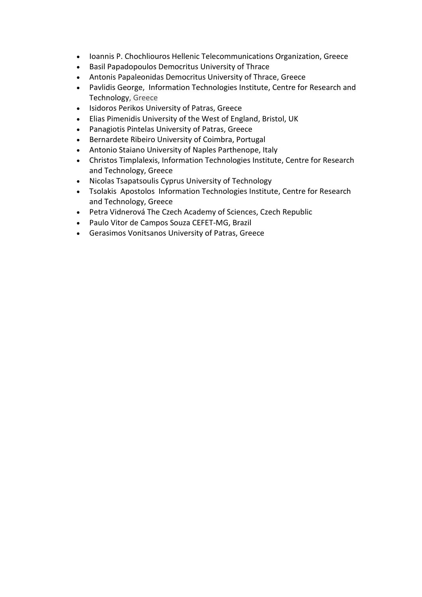- Ioannis P. Chochliouros Hellenic Telecommunications Organization, Greece
- Basil Papadopoulos Democritus University of Thrace
- Antonis Papaleonidas Democritus University of Thrace, Greece
- Pavlidis George, Information Technologies Institute, Centre for Research and Technology, Greece
- Isidoros Perikos University of Patras, Greece
- Elias Pimenidis University of the West of England, Bristol, UK
- Panagiotis Pintelas University of Patras, Greece
- Bernardete Ribeiro University of Coimbra, Portugal
- Antonio Staiano University of Naples Parthenope, Italy
- Christos Timplalexis, Information Technologies Institute, Centre for Research and Technology, Greece
- Nicolas Tsapatsoulis Cyprus University of Technology
- Tsolakis Apostolos Information Technologies Institute, Centre for Research and Technology, Greece
- Petra Vidnerová The Czech Academy of Sciences, Czech Republic
- Paulo Vitor de Campos Souza CEFET-MG, Brazil
- Gerasimos Vonitsanos University of Patras, Greece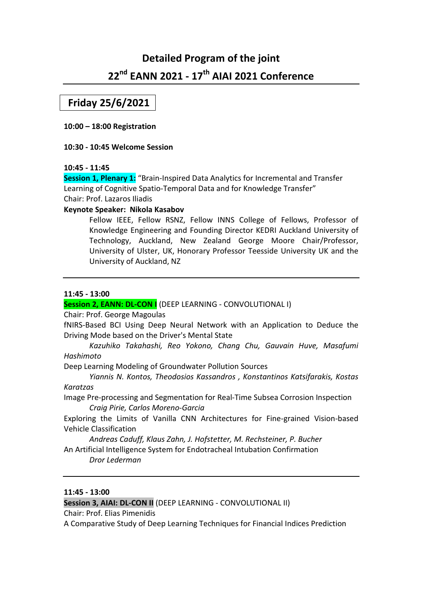# **Detailed Program of the joint**

# **22nd EANN 2021 - 17th AIAI 2021 Conference**

# **Friday 25/6/2021**

## **10:00 – 18:00 Registration**

# **10:30 - 10:45 Welcome Session**

### **10:45 - 11:45**

**Session 1, Plenary 1:** "Brain-Inspired Data Analytics for Incremental and Transfer Learning of Cognitive Spatio-Temporal Data and for Knowledge Transfer" Chair: Prof. Lazaros Iliadis

## **Keynote Speaker: Nikola Kasabov**

Fellow IEEE, Fellow RSNZ, Fellow INNS College of Fellows, Professor of Knowledge Engineering and Founding Director KEDRI Auckland University of Technology, Auckland, New Zealand George Moore Chair/Professor, University of Ulster, UK, Honorary Professor Teesside University UK and the University of Auckland, NZ

## **11:45 - 13:00**

# **Session 2, EANN: DL-CON I** (DEEP LEARNING - CONVOLUTIONAL I)

Chair: Prof. George Magoulas

fNIRS-Based BCI Using Deep Neural Network with an Application to Deduce the Driving Mode based on the Driver's Mental State

 *Kazuhiko Takahashi, Reo Yokono, Chang Chu, Gauvain Huve, Masafumi Hashimoto* 

Deep Learning Modeling of Groundwater Pollution Sources

 *Yiannis N. Kontos, Theodosios Kassandros , Konstantinos Katsifarakis, Kostas Karatzas* 

Image Pre-processing and Segmentation for Real-Time Subsea Corrosion Inspection  *Craig Pirie, Carlos Moreno-Garcia* 

Exploring the Limits of Vanilla CNN Architectures for Fine-grained Vision-based Vehicle Classification

 *Andreas Caduff, Klaus Zahn, J. Hofstetter, M. Rechsteiner, P. Bucher*  An Artificial Intelligence System for Endotracheal Intubation Confirmation  *Dror Lederman* 

#### **11:45 - 13:00**

**Session 3, AIAI: DL-CON II** (DEEP LEARNING - CONVOLUTIONAL II)

Chair: Prof. Elias Pimenidis

A Comparative Study of Deep Learning Techniques for Financial Indices Prediction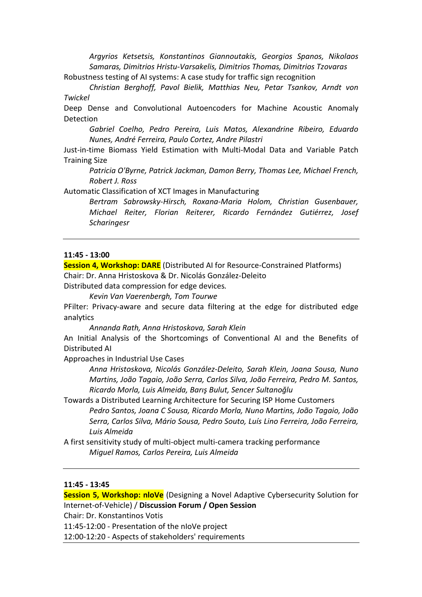*Argyrios Ketsetsis, Konstantinos Giannoutakis, Georgios Spanos, Nikolaos Samaras, Dimitrios Hristu-Varsakelis, Dimitrios Thomas, Dimitrios Tzovaras*  Robustness testing of AI systems: A case study for traffic sign recognition

 *Christian Berghoff, Pavol Bielik, Matthias Neu, Petar Tsankov, Arndt von Twickel* 

Deep Dense and Convolutional Autoencoders for Machine Acoustic Anomaly Detection

*Gabriel Coelho, Pedro Pereira, Luis Matos, Alexandrine Ribeiro, Eduardo Nunes, André Ferreira, Paulo Cortez, Andre Pilastri*

Just-in-time Biomass Yield Estimation with Multi-Modal Data and Variable Patch Training Size

*Patricia O'Byrne, Patrick Jackman, Damon Berry, Thomas Lee, Michael French, Robert J. Ross* 

Automatic Classification of XCT Images in Manufacturing

*Bertram Sabrowsky-Hirsch, Roxana-Maria Holom, Christian Gusenbauer, Michael Reiter, Florian Reiterer, Ricardo Fernández Gutiérrez, Josef Scharingesr* 

## **11:45 - 13:00**

**Session 4, Workshop: DARE** (Distributed AI for Resource-Constrained Platforms) Chair: Dr. Anna Hristoskova & Dr. Nicolás González-Deleito

Distributed data compression for edge devices*.*

 *Kevin Van Vaerenbergh, Tom Tourwe* 

PFilter: Privacy-aware and secure data filtering at the edge for distributed edge analytics

 *Annanda Rath, Anna Hristoskova, Sarah Klein* 

An Initial Analysis of the Shortcomings of Conventional AI and the Benefits of Distributed AI

Approaches in Industrial Use Cases

*Anna Hristoskova, Nicolás González-Deleito, Sarah Klein, Joana Sousa, Nuno Martins, João Tagaio, João Serra, Carlos Silva, João Ferreira, Pedro M. Santos, Ricardo Morla, Luis Almeida, Barış Bulut, Sencer Sultanoğlu* 

Towards a Distributed Learning Architecture for Securing ISP Home Customers *Pedro Santos, Joana C Sousa, Ricardo Morla, Nuno Martins, João Tagaio, João Serra, Carlos Silva, Mário Sousa, Pedro Souto, Luís Lino Ferreira, João Ferreira, Luis Almeida* 

A first sensitivity study of multi-object multi-camera tracking performance  *Miguel Ramos, Carlos Pereira, Luis Almeida* 

## **11:45 - 13:45**

**Session 5, Workshop: nloVe** (Designing a Novel Adaptive Cybersecurity Solution for Internet-of-Vehicle) / **Discussion Forum / Open Session** 

Chair: Dr. Konstantinos Votis

11:45-12:00 - Presentation of the nIoVe project

12:00-12:20 - Aspects of stakeholders' requirements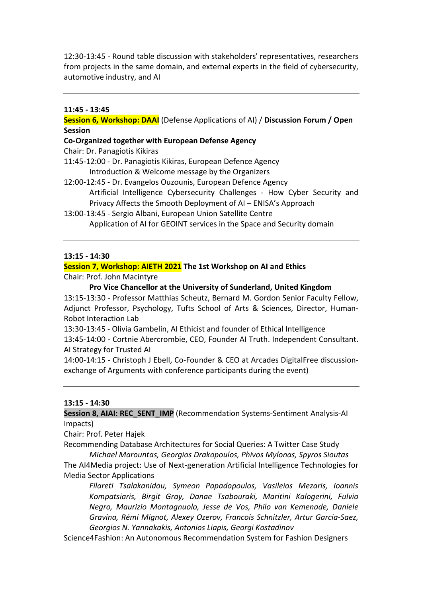12:30-13:45 - Round table discussion with stakeholders' representatives, researchers from projects in the same domain, and external experts in the field of cybersecurity, automotive industry, and AI

#### **11:45 - 13:45**

**Session 6, Workshop: DAAI** (Defense Applications of AI) / **Discussion Forum / Open Session** 

### **Co-Organized together with European Defense Agency**

Chair: Dr. Panagiotis Kikiras

11:45-12:00 - Dr. Panagiotis Kikiras, European Defence Agency Introduction & Welcome message by the Organizers

- 12:00-12:45 Dr. Evangelos Ouzounis, European Defence Agency Artificial Intelligence Cybersecurity Challenges - How Cyber Security and Privacy Affects the Smooth Deployment of AI – ENISA's Approach
- 13:00-13:45 Sergio Albani, European Union Satellite Centre Application of AI for GEOINT services in the Space and Security domain

### **13:15 - 14:30**

# **Session 7, Workshop: AIETH 2021 The 1st Workshop on AI and Ethics**

Chair: Prof. John Macintyre

## **Pro Vice Chancellor at the University of Sunderland, United Kingdom**

13:15-13:30 - Professor Matthias Scheutz, Bernard M. Gordon Senior Faculty Fellow, Adjunct Professor, Psychology, Tufts School of Arts & Sciences, Director, Human-Robot Interaction Lab

13:30-13:45 - Olivia Gambelin, AI Ethicist and founder of Ethical Intelligence 13:45-14:00 - Cortnie Abercrombie, CEO, Founder AI Truth. Independent Consultant.

AI Strategy for Trusted AI

14:00-14:15 - Christoph J Ebell, Co-Founder & CEO at Arcades DigitalFree discussionexchange of Arguments with conference participants during the event)

#### **13:15 - 14:30**

**Session 8, AIAI: REC\_SENT\_IMP** (Recommendation Systems-Sentiment Analysis-AI Impacts)

Chair: Prof. Peter Hajek

Recommending Database Architectures for Social Queries: A Twitter Case Study

 *Michael Marountas, Georgios Drakopoulos, Phivos Mylonas, Spyros Sioutas*  The AI4Media project: Use of Next-generation Artificial Intelligence Technologies for Media Sector Applications

*Filareti Tsalakanidou, Symeon Papadopoulos, Vasileios Mezaris, Ioannis Kompatsiaris, Birgit Gray, Danae Tsabouraki, Maritini Kalogerini, Fulvio Negro, Maurizio Montagnuolo, Jesse de Vos, Philo van Kemenade, Daniele Gravina, Rémi Mignot, Alexey Ozerov, Francois Schnitzler, Artur Garcia-Saez, Georgios N. Yannakakis, Antonios Liapis, Georgi Kostadinov* 

Science4Fashion: An Autonomous Recommendation System for Fashion Designers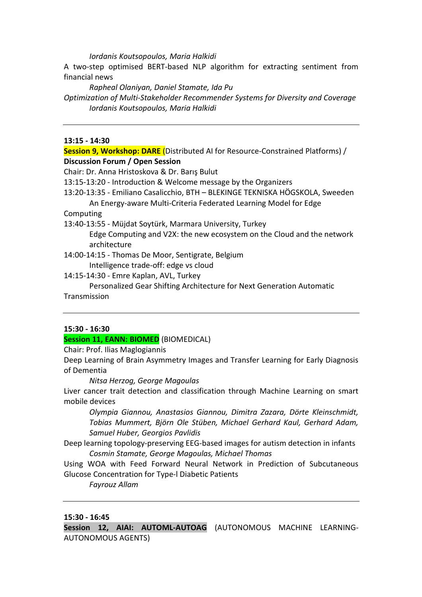#### *Iordanis Koutsopoulos, Maria Halkidi*

A two-step optimised BERT-based NLP algorithm for extracting sentiment from financial news

 *Rapheal Olaniyan, Daniel Stamate, Ida Pu Optimization of Multi-Stakeholder Recommender Systems for Diversity and Coverage Iordanis Koutsopoulos, Maria Halkidi* 

#### **13:15 - 14:30**

**Session 9, Workshop: DARE** (Distributed AI for Resource-Constrained Platforms) / **Discussion Forum / Open Session**

Chair: Dr. Anna Hristoskova & Dr. Barış Bulut

13:15-13:20 - Introduction & Welcome message by the Organizers

13:20-13:35 - Emiliano Casalicchio, BTH – BLEKINGE TEKNISKA HÖGSKOLA, Sweeden An Energy-aware Multi-Criteria Federated Learning Model for Edge

Computing

13:40-13:55 - Müjdat Soytürk, Marmara University, Turkey

Edge Computing and V2X: the new ecosystem on the Cloud and the network architecture

14:00-14:15 - Thomas De Moor, Sentigrate, Belgium Intelligence trade-off: edge vs cloud

14:15-14:30 - Emre Kaplan, AVL, Turkey

Personalized Gear Shifting Architecture for Next Generation Automatic

Transmission

#### **15:30 - 16:30**

## **Session 11, EANN: BIOMED** (BIOMEDICAL)

Chair: Prof. Ilias Maglogiannis

Deep Learning of Brain Asymmetry Images and Transfer Learning for Early Diagnosis of Dementia

 *Nitsa Herzog, George Magoulas* 

Liver cancer trait detection and classification through Machine Learning on smart mobile devices

*Olympia Giannou, Anastasios Giannou, Dimitra Zazara, Dörte Kleinschmidt, Tobias Mummert, Björn Ole Stüben, Michael Gerhard Kaul, Gerhard Adam, Samuel Huber, Georgios Pavlidis* 

Deep learning topology-preserving EEG-based images for autism detection in infants  *Cosmin Stamate, George Magoulas, Michael Thomas* 

Using WOA with Feed Forward Neural Network in Prediction of Subcutaneous Glucose Concentration for Type-l Diabetic Patients

 *Fayrouz Allam* 

#### **15:30 - 16:45**

**Session 12, AIAI: AUTOML-AUTOAG** (AUTONOMOUS MACHINE LEARNING-AUTONOMOUS AGENTS)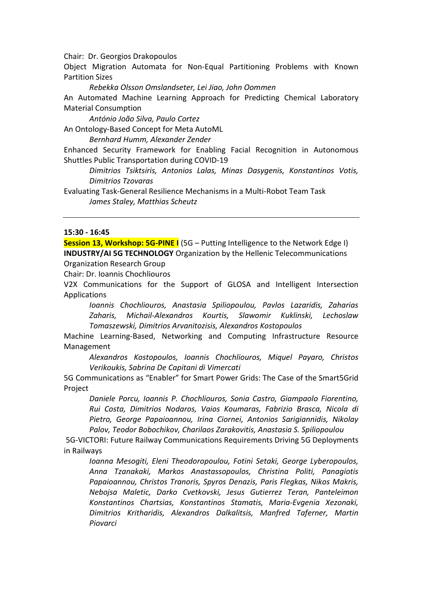Chair: Dr. Georgios Drakopoulos

Object Migration Automata for Non-Equal Partitioning Problems with Known Partition Sizes

*Rebekka Olsson Omslandseter, Lei Jiao, John Oommen*  An Automated Machine Learning Approach for Predicting Chemical Laboratory Material Consumption

 *António João Silva, Paulo Cortez* 

An Ontology-Based Concept for Meta AutoML

 *Bernhard Humm, Alexander Zender* 

Enhanced Security Framework for Enabling Facial Recognition in Autonomous Shuttles Public Transportation during COVID-19

*Dimitrios Tsiktsiris, Antonios Lalas, Minas Dasygenis, Konstantinos Votis, Dimitrios Tzovaras* 

Evaluating Task-General Resilience Mechanisms in a Multi-Robot Team Task *James Staley, Matthias Scheutz* 

#### **15:30 - 16:45**

**Session 13, Workshop: 5G-PINE I** (5G – Putting Intelligence to the Network Edge I) **INDUSTRY/AI 5G TECHNOLOGY** Organization by the Hellenic Telecommunications Organization Research Group

Chair: Dr. Ioannis Chochliouros

V2X Communications for the Support of GLOSA and Intelligent Intersection Applications

*Ioannis Chochliouros, Anastasia Spiliopoulou, Pavlos Lazaridis, Zaharias Zaharis, Michail-Alexandros Kourtis, Slawomir Kuklinski, Lechoslaw Tomaszewski, Dimitrios Arvanitozisis, Alexandros Kostopoulos* 

Machine Learning-Based, Networking and Computing Infrastructure Resource Management

*Alexandros Kostopoulos, Ioannis Chochliouros, Miquel Payaro, Christos Verikoukis, Sabrina De Capitani di Vimercati* 

5G Communications as "Enabler" for Smart Power Grids: The Case of the Smart5Grid Project

*Daniele Porcu, Ioannis P. Chochliouros, Sonia Castro, Giampaolo Fiorentino, Rui Costa, Dimitrios Nodaros, Vaios Koumaras, Fabrizio Brasca, Nicola di Pietro, George Papaioannou, Irina Ciornei, Antonios Sarigiannidis, Nikolay Palov, Teodor Bobochikov, Charilaos Zarakovitis, Anastasia S. Spiliopoulou* 

 5G-VICTORI: Future Railway Communications Requirements Driving 5G Deployments in Railways

*Ioanna Mesogiti, Eleni Theodoropoulou, Fotini Setaki, George Lyberopoulos, Anna Tzanakaki, Markos Anastassopoulos, Christina Politi, Panagiotis Papaioannou, Christos Tranoris, Spyros Denazis, Paris Flegkas, Nikos Makris, Nebojsa Maletic, Darko Cvetkovski, Jesus Gutierrez Teran, Panteleimon Konstantinos Chartsias, Konstantinos Stamatis, Maria-Evgenia Xezonaki, Dimitrios Kritharidis, Alexandros Dalkalitsis, Manfred Taferner, Martin Piovarci*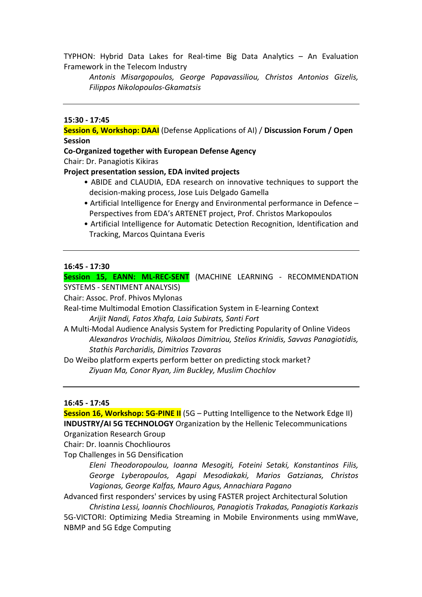TYPHON: Hybrid Data Lakes for Real-time Big Data Analytics – An Evaluation Framework in the Telecom Industry

*Antonis Misargopoulos, George Papavassiliou, Christos Antonios Gizelis, Filippos Nikolopoulos-Gkamatsis* 

# **15:30 - 17:45**

**Session 6, Workshop: DAAI** (Defense Applications of AI) / **Discussion Forum / Open Session** 

#### **Co-Organized together with European Defense Agency**

Chair: Dr. Panagiotis Kikiras

**Project presentation session, EDA invited projects** 

- ABIDE and CLAUDIA, EDA research on innovative techniques to support the decision-making process, Jose Luis Delgado Gamella
- Artificial Intelligence for Energy and Environmental performance in Defence Perspectives from EDA's ARTENET project, Prof. Christos Markopoulos
- Artificial Intelligence for Automatic Detection Recognition, Identification and Tracking, Marcos Quintana Everis

#### **16:45 - 17:30**

**Session 15, EANN: ML-REC-SENT** (MACHINE LEARNING - RECOMMENDATION SYSTEMS - SENTIMENT ANALYSIS) Chair: Assoc. Prof. Phivos Mylonas Real-time Multimodal Emotion Classification System in E-learning Context

 *Arijit Nandi, Fatos Xhafa, Laia Subirats, Santi Fort* 

A Multi-Modal Audience Analysis System for Predicting Popularity of Online Videos *Alexandros Vrochidis, Nikolaos Dimitriou, Stelios Krinidis, Savvas Panagiotidis, Stathis Parcharidis, Dimitrios Tzovaras* 

Do Weibo platform experts perform better on predicting stock market?  *Ziyuan Ma, Conor Ryan, Jim Buckley, Muslim Chochlov* 

## **16:45 - 17:45**

**Session 16, Workshop: 5G-PINE II** (5G – Putting Intelligence to the Network Edge II) **INDUSTRY/AI 5G TECHNOLOGY** Organization by the Hellenic Telecommunications

Organization Research Group

Chair: Dr. Ioannis Chochliouros

Top Challenges in 5G Densification

*Eleni Theodoropoulou, Ioanna Mesogiti, Foteini Setaki, Konstantinos Filis, George Lyberopoulos, Agapi Mesodiakaki, Marios Gatzianas, Christos Vagionas, George Kalfas, Mauro Agus, Annachiara Pagano* 

Advanced first responders' services by using FASTER project Architectural Solution  *Christina Lessi, Ioannis Chochliouros, Panagiotis Trakadas, Panagiotis Karkazis* 

5G-VICTORI: Optimizing Media Streaming in Mobile Environments using mmWave, NBMP and 5G Edge Computing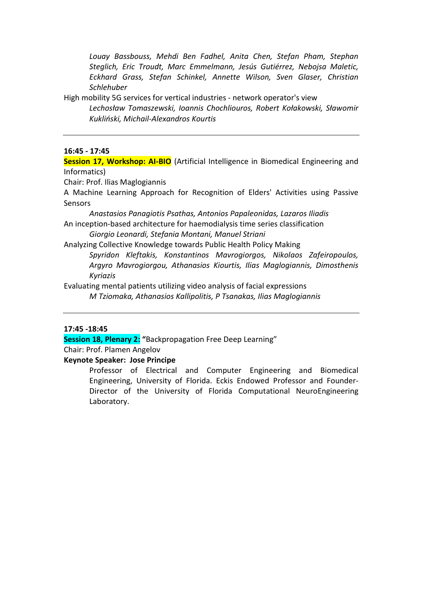*Louay Bassbouss, Mehdi Ben Fadhel, Anita Chen, Stefan Pham, Stephan Steglich, Eric Troudt, Marc Emmelmann, Jesús Gutiérrez, Nebojsa Maletic, Eckhard Grass, Stefan Schinkel, Annette Wilson, Sven Glaser, Christian Schlehuber* 

High mobility 5G services for vertical industries - network operator's view

*Lechosław Tomaszewski, Ioannis Chochliouros, Robert Kołakowski, Sławomir Kukliński, Michail-Alexandros Kourtis* 

#### **16:45 - 17:45**

**Session 17, Workshop: AI-BIO** (Artificial Intelligence in Biomedical Engineering and Informatics)

Chair: Prof. Ilias Maglogiannis

A Machine Learning Approach for Recognition of Elders' Activities using Passive **Sensors** 

 *Anastasios Panagiotis Psathas, Antonios Papaleonidas, Lazaros Iliadis*  An inception-based architecture for haemodialysis time series classification

 *Giorgio Leonardi, Stefania Montani, Manuel Striani* Analyzing Collective Knowledge towards Public Health Policy Making

*Spyridon Kleftakis, Konstantinos Mavrogiorgos, Nikolaos Zafeiropoulos, Argyro Mavrogiorgou, Athanasios Kiourtis, Ilias Maglogiannis, Dimosthenis Kyriazis* 

Evaluating mental patients utilizing video analysis of facial expressions

 *M Tziomaka, Athanasios Kallipolitis, P Tsanakas, Ilias Maglogiannis* 

#### **17:45 -18:45**

**Session 18, Plenary 2: "**Backpropagation Free Deep Learning"

Chair: Prof. Plamen Angelov

#### **Keynote Speaker: Jose Principe**

Professor of Electrical and Computer Engineering and Biomedical Engineering, University of Florida. Eckis Endowed Professor and Founder-Director of the University of Florida Computational NeuroEngineering Laboratory.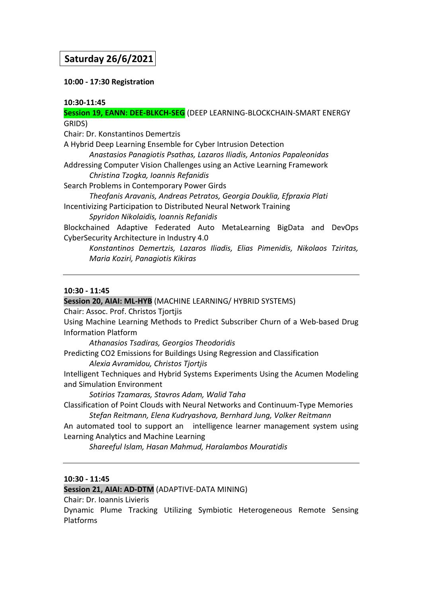# **Saturday 26/6/2021**

## **10:00 - 17:30 Registration**

#### **10:30-11:45**

**Session 19, EANN: DEE-BLKCH-SEG** (DEEP LEARNING-BLOCKCHAIN-SMART ENERGY GRIDS)

Chair: Dr. Konstantinos Demertzis

A Hybrid Deep Learning Ensemble for Cyber Intrusion Detection

 *Anastasios Panagiotis Psathas, Lazaros Iliadis, Antonios Papaleonidas*  Addressing Computer Vision Challenges using an Active Learning Framework

 *Christina Tzogka, Ioannis Refanidis* 

Search Problems in Contemporary Power Girds

 *Theofanis Aravanis, Andreas Petratos, Georgia Douklia, Efpraxia Plati* 

Incentivizing Participation to Distributed Neural Network Training

 *Spyridon Nikolaidis, Ioannis Refanidis* 

Blockchained Αdaptive Federated Auto MetaLearning BigData and DevOps CyberSecurity Architecture in Industry 4.0

*Konstantinos Demertzis, Lazaros Iliadis, Elias Pimenidis, Nikolaos Tziritas, Maria Koziri, Panagiotis Kikiras* 

### **10:30 - 11:45**

**Session 20, AIAI: ML-HYB** (MACHINE LEARNING/ HYBRID SYSTEMS)

Chair: Assoc. Prof. Christos Tjortjis

Using Machine Learning Methods to Predict Subscriber Churn of a Web-based Drug Information Platform

 *Athanasios Tsadiras, Georgios Theodoridis* 

Predicting CO2 Emissions for Buildings Using Regression and Classification  *Alexia Avramidou, Christos Tjortjis* 

Intelligent Techniques and Hybrid Systems Experiments Using the Acumen Modeling and Simulation Environment

 *Sotirios Tzamaras, Stavros Adam, Walid Taha* 

Classification of Point Clouds with Neural Networks and Continuum-Type Memories

 *Stefan Reitmann, Elena Kudryashova, Bernhard Jung, Volker Reitmann*  An automated tool to support an intelligence learner management system using Learning Analytics and Machine Learning

 *Shareeful Islam, Hasan Mahmud, Haralambos Mouratidis* 

#### **10:30 - 11:45**

# **Session 21, AIAI: AD-DTM** (ADAPTIVE-DATA MINING)

Chair: Dr. Ioannis Livieris

Dynamic Plume Tracking Utilizing Symbiotic Heterogeneous Remote Sensing Platforms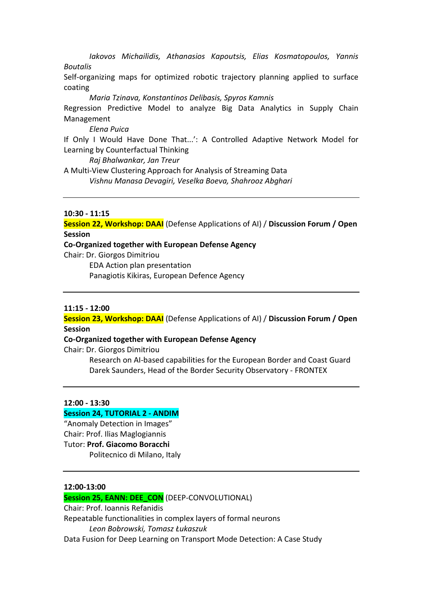*Iakovos Michailidis, Athanasios Kapoutsis, Elias Kosmatopoulos, Yannis Boutalis* 

Self-organizing maps for optimized robotic trajectory planning applied to surface coating

*Maria Tzinava, Konstantinos Delibasis, Spyros Kamnis* 

Regression Predictive Model to analyze Big Data Analytics in Supply Chain Management

 *Elena Puica* 

If Only I Would Have Done That...': A Controlled Adaptive Network Model for Learning by Counterfactual Thinking

*Raj Bhalwankar, Jan Treur* 

A Multi-View Clustering Approach for Analysis of Streaming Data  *Vishnu Manasa Devagiri, Veselka Boeva, Shahrooz Abghari* 

## **10:30 - 11:15**

**Session 22, Workshop: DAAI** (Defense Applications of AI) / **Discussion Forum / Open Session** 

**Co-Organized together with European Defense Agency** 

Chair: Dr. Giorgos Dimitriou

EDA Action plan presentation

Panagiotis Kikiras, European Defence Agency

#### **11:15 - 12:00**

**Session 23, Workshop: DAAI** (Defense Applications of AI) / **Discussion Forum / Open Session** 

# **Co-Organized together with European Defense Agency**

Chair: Dr. Giorgos Dimitriou

Research on AI-based capabilities for the European Border and Coast Guard Darek Saunders, Head of the Border Security Observatory - FRONTEX

#### **12:00 - 13:30**

#### **Session 24, TUTORIAL 2 - ANDIM**

"Anomaly Detection in Images" Chair: Prof. Ilias Maglogiannis Tutor: **Prof. Giacomo Boracchi**  Politecnico di Milano, Italy

#### **12:00-13:00**

**Session 25, EANN: DEE\_CON** (DEEP-CONVOLUTIONAL)

Chair: Prof. Ioannis Refanidis Repeatable functionalities in complex layers of formal neurons  *Leon Bobrowski, Tomasz Łukaszuk*  Data Fusion for Deep Learning on Transport Mode Detection: A Case Study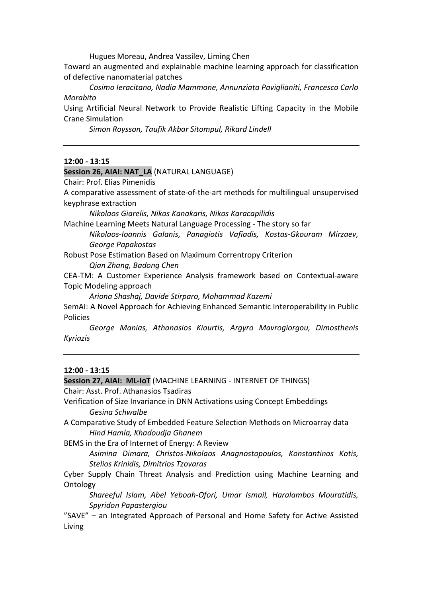Hugues Moreau, Andrea Vassilev, Liming Chen

Toward an augmented and explainable machine learning approach for classification of defective nanomaterial patches

 *Cosimo Ieracitano, Nadia Mammone, Annunziata Paviglianiti, Francesco Carlo Morabito* 

Using Artificial Neural Network to Provide Realistic Lifting Capacity in the Mobile Crane Simulation

 *Simon Roysson, Taufik Akbar Sitompul, Rikard Lindell* 

#### **12:00 - 13:15**

#### **Session 26, AIAI: NAT\_LA** (NATURAL LANGUAGE)

Chair: Prof. Elias Pimenidis

A comparative assessment of state-of-the-art methods for multilingual unsupervised keyphrase extraction

 *Nikolaos Giarelis, Nikos Kanakaris, Nikos Karacapilidis* 

Machine Learning Meets Natural Language Processing - The story so far

*Nikolaos-Ioannis Galanis, Panagiotis Vafiadis, Kostas-Gkouram Mirzaev, George Papakostas* 

Robust Pose Estimation Based on Maximum Correntropy Criterion *Qian Zhang, Badong Chen* 

CEA-TM: A Customer Experience Analysis framework based on Contextual-aware Topic Modeling approach

 *Ariona Shashaj, Davide Stirparo, Mohammad Kazemi* 

SemAI: A Novel Approach for Achieving Enhanced Semantic Interoperability in Public Policies

 *George Manias, Athanasios Kiourtis, Argyro Mavrogiorgou, Dimosthenis Kyriazis* 

#### **12:00 - 13:15**

**Session 27, AIAI: ML-IoT** (MACHINE LEARNING - INTERNET OF THINGS)

Chair: Asst. Prof. Athanasios Tsadiras

Verification of Size Invariance in DNN Activations using Concept Embeddings  *Gesina Schwalbe* 

A Comparative Study of Embedded Feature Selection Methods on Microarray data  *Hind Hamla, Khadoudja Ghanem* 

BEMS in the Era of Internet of Energy: A Review

*Asimina Dimara, Christos-Nikolaos Anagnostopoulos, Konstantinos Kotis, Stelios Krinidis, Dimitrios Tzovaras* 

Cyber Supply Chain Threat Analysis and Prediction using Machine Learning and **Ontology** 

*Shareeful Islam, Abel Yeboah-Ofori, Umar Ismail, Haralambos Mouratidis, Spyridon Papastergiou* 

"SAVE" – an Integrated Approach of Personal and Home Safety for Active Assisted Living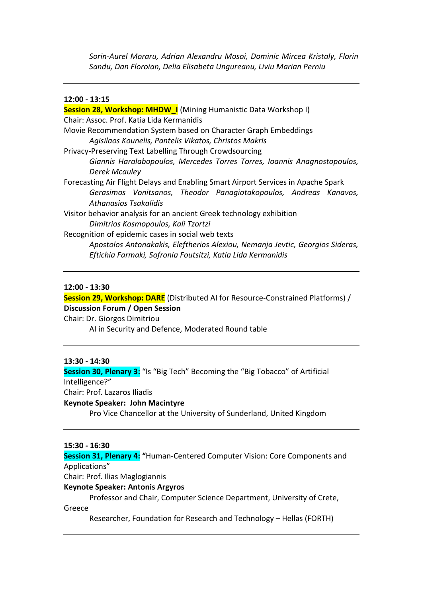*Sorin-Aurel Moraru, Adrian Alexandru Mosoi, Dominic Mircea Kristaly, Florin Sandu, Dan Floroian, Delia Elisabeta Ungureanu, Liviu Marian Perniu* 

#### **12:00 - 13:15**

**Session 28, Workshop: MHDW I** (Mining Humanistic Data Workshop I) Chair: Assoc. Prof. Katia Lida Kermanidis Movie Recommendation System based on Character Graph Embeddings  *Agisilaos Kounelis, Pantelis Vikatos, Christos Makris*  Privacy-Preserving Text Labelling Through Crowdsourcing *Giannis Haralabopoulos, Mercedes Torres Torres, Ioannis Anagnostopoulos, Derek Mcauley*  Forecasting Air Flight Delays and Enabling Smart Airport Services in Apache Spark *Gerasimos Vonitsanos, Theodor Panagiotakopoulos, Andreas Kanavos, Athanasios Tsakalidis*  Visitor behavior analysis for an ancient Greek technology exhibition  *Dimitrios Kosmopoulos, Kali Tzortzi*  Recognition of epidemic cases in social web texts *Apostolos Antonakakis, Eleftherios Alexiou, Nemanja Jevtic, Georgios Sideras, Eftichia Farmaki, Sofronia Foutsitzi, Katia Lida Kermanidis* 

#### **12:00 - 13:30**

**Session 29, Workshop: DARE** (Distributed AI for Resource-Constrained Platforms) / **Discussion Forum / Open Session** Chair: Dr. Giorgos Dimitriou

AI in Security and Defence, Moderated Round table

#### **13:30 - 14:30**

**Session 30, Plenary 3:** "Is "Big Tech" Becoming the "Big Tobacco" of Artificial

Intelligence?"

Chair: Prof. Lazaros Iliadis

#### **Keynote Speaker: John Macintyre**

Pro Vice Chancellor at the University of Sunderland, United Kingdom

#### **15:30 - 16:30**

**Session 31, Plenary 4: "**Human-Centered Computer Vision: Core Components and Applications"

Chair: Prof. Ilias Maglogiannis

#### **Keynote Speaker: Antonis Argyros**

Professor and Chair, Computer Science Department, University of Crete, Greece

Researcher, Foundation for Research and Technology – Hellas (FORTH)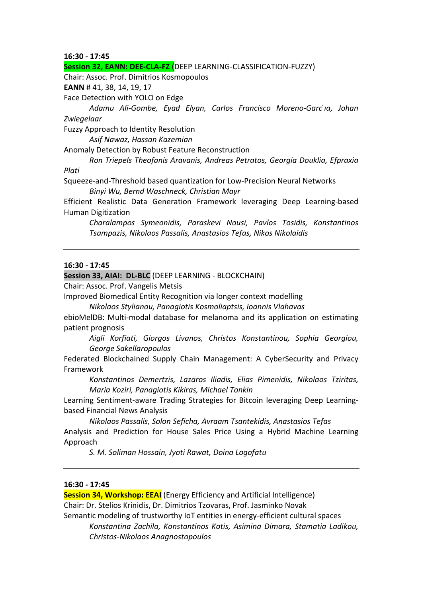#### **16:30 - 17:45**

**Session 32, EANN: DEE-CLA-FZ** (DEEP LEARNING-CLASSIFICATION-FUZZY)

Chair: Assoc. Prof. Dimitrios Kosmopoulos

**EANN** # 41, 38, 14, 19, 17

Face Detection with YOLO on Edge

 *Adamu Ali-Gombe, Eyad Elyan, Carlos Francisco Moreno-Garc ́ıa, Johan Zwiegelaar* 

Fuzzy Approach to Identity Resolution

 *Asif Nawaz, Hassan Kazemian* 

Anomaly Detection by Robust Feature Reconstruction

 *Ron Triepels Theofanis Aravanis, Andreas Petratos, Georgia Douklia, Efpraxia Plati* 

Squeeze-and-Threshold based quantization for Low-Precision Neural Networks  *Binyi Wu, Bernd Waschneck, Christian Mayr* 

Efficient Realistic Data Generation Framework leveraging Deep Learning-based Human Digitization

*Charalampos Symeonidis, Paraskevi Nousi, Pavlos Tosidis, Konstantinos Tsampazis, Nikolaos Passalis, Anastasios Tefas, Nikos Nikolaidis* 

#### **16:30 - 17:45**

**Session 33, AIAI: DL-BLC** (DEEP LEARNING - BLOCKCHAIN)

Chair: Assoc. Prof. Vangelis Metsis

Improved Biomedical Entity Recognition via longer context modelling

 *Nikolaos Stylianou, Panagiotis Kosmoliaptsis, Ioannis Vlahavas* 

ebioMelDB: Multi-modal database for melanoma and its application on estimating patient prognosis

*Aigli Korfiati, Giorgos Livanos, Christos Konstantinou, Sophia Georgiou, George Sakellaropoulos* 

Federated Blockchained Supply Chain Management: A CyberSecurity and Privacy Framework

*Konstantinos Demertzis, Lazaros Iliadis, Elias Pimenidis, Nikolaos Tziritas, Maria Koziri, Panagiotis Kikiras, Michael Tonkin* 

Learning Sentiment-aware Trading Strategies for Bitcoin leveraging Deep Learningbased Financial News Analysis

 *Nikolaos Passalis, Solon Seficha, Avraam Tsantekidis, Anastasios Tefas*  Analysis and Prediction for House Sales Price Using a Hybrid Machine Learning Approach

 *S. M. Soliman Hossain, Jyoti Rawat, Doina Logofatu*

# **16:30 - 17:45**

**Session 34, Workshop: EEAI** (Energy Efficiency and Artificial Intelligence) Chair: Dr. Stelios Krinidis, Dr. Dimitrios Tzovaras, Prof. Jasminko Novak

Semantic modeling of trustworthy IoT entities in energy-efficient cultural spaces *Konstantina Zachila, Konstantinos Kotis, Asimina Dimara, Stamatia Ladikou, Christos-Nikolaos Anagnostopoulos*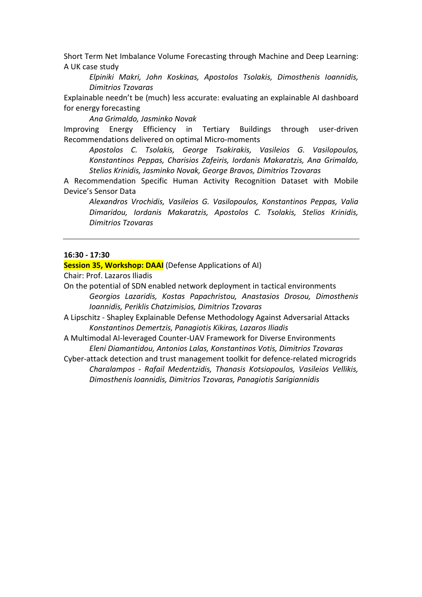Short Term Net Imbalance Volume Forecasting through Machine and Deep Learning: A UK case study

*Elpiniki Makri, John Koskinas, Apostolos Tsolakis, Dimosthenis Ioannidis, Dimitrios Tzovaras* 

Explainable needn't be (much) less accurate: evaluating an explainable AI dashboard for energy forecasting

 *Ana Grimaldo, Jasminko Novak* 

Improving Energy Efficiency in Tertiary Buildings through user-driven Recommendations delivered on optimal Micro-moments

*Apostolos C. Tsolakis, George Tsakirakis, Vasileios G. Vasilopoulos, Konstantinos Peppas, Charisios Zafeiris, Iordanis Makaratzis, Ana Grimaldo, Stelios Krinidis, Jasminko Novak, George Bravos, Dimitrios Tzovaras* 

A Recommendation Specific Human Activity Recognition Dataset with Mobile Device's Sensor Data

*Alexandros Vrochidis, Vasileios G. Vasilopoulos, Konstantinos Peppas, Valia Dimaridou, Iordanis Makaratzis, Apostolos C. Tsolakis, Stelios Krinidis, Dimitrios Tzovaras* 

# **16:30 - 17:30**

**Session 35, Workshop: DAAI** (Defense Applications of AI)

Chair: Prof. Lazaros Iliadis

On the potential of SDN enabled network deployment in tactical environments *Georgios Lazaridis, Kostas Papachristou, Anastasios Drosou, Dimosthenis Ioannidis, Periklis Chatzimisios, Dimitrios Tzovaras* 

A Lipschitz - Shapley Explainable Defense Methodology Against Adversarial Attacks *Konstantinos Demertzis, Panagiotis Kikiras, Lazaros Iliadis* 

A Multimodal AI-leveraged Counter-UAV Framework for Diverse Environments  *Eleni Diamantidou, Antonios Lalas, Konstantinos Votis, Dimitrios Tzovaras* 

Cyber-attack detection and trust management toolkit for defence-related microgrids *Charalampos - Rafail Medentzidis, Thanasis Kotsiopoulos, Vasileios Vellikis, Dimosthenis Ioannidis, Dimitrios Tzovaras, Panagiotis Sarigiannidis*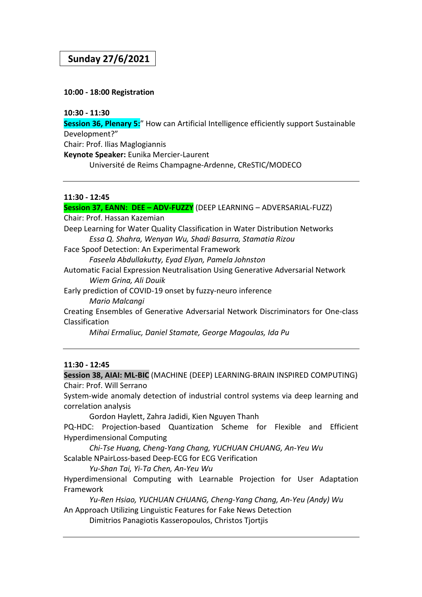# **Sunday 27/6/2021**

### **10:00 - 18:00 Registration**

#### **10:30 - 11:30**

**Session 36, Plenary 5:**" How can Artificial Intelligence efficiently support Sustainable Development?"

Chair: Prof. Ilias Maglogiannis

**Keynote Speaker:** Eunika Mercier-Laurent

Université de Reims Champagne-Ardenne, CReSTIC/MODECO

## **11:30 - 12:45**

## **Session 37, EANN: DEE – ADV-FUZZY** (DEEP LEARNING – ADVERSARIAL-FUZZ)

Chair: Prof. Hassan Kazemian Deep Learning for Water Quality Classification in Water Distribution Networks  *Essa Q. Shahra, Wenyan Wu, Shadi Basurra, Stamatia Rizou*  Face Spoof Detection: An Experimental Framework  *Faseela Abdullakutty, Eyad Elyan, Pamela Johnston*  Automatic Facial Expression Neutralisation Using Generative Adversarial Network  *Wiem Grina, Ali Douik*  Early prediction of COVID-19 onset by fuzzy-neuro inference *Mario Malcangi*  Creating Ensembles of Generative Adversarial Network Discriminators for One-class Classification *Mihai Ermaliuc, Daniel Stamate, George Magoulas, Ida Pu* 

## **11:30 - 12:45**

**Session 38, AIAI: ML-BIC** (MACHINE (DEEP) LEARNING-BRAIN INSPIRED COMPUTING) Chair: Prof. Will Serrano

System-wide anomaly detection of industrial control systems via deep learning and correlation analysis

Gordon Haylett, Zahra Jadidi, Kien Nguyen Thanh

PQ-HDC: Projection-based Quantization Scheme for Flexible and Efficient Hyperdimensional Computing

 *Chi-Tse Huang, Cheng-Yang Chang, YUCHUAN CHUANG, An-Yeu Wu*  Scalable NPairLoss-based Deep-ECG for ECG Verification

 *Yu-Shan Tai, Yi-Ta Chen, An-Yeu Wu* 

Hyperdimensional Computing with Learnable Projection for User Adaptation Framework

 *Yu-Ren Hsiao, YUCHUAN CHUANG, Cheng-Yang Chang, An-Yeu (Andy) Wu*  An Approach Utilizing Linguistic Features for Fake News Detection

Dimitrios Panagiotis Kasseropoulos, Christos Tjortjis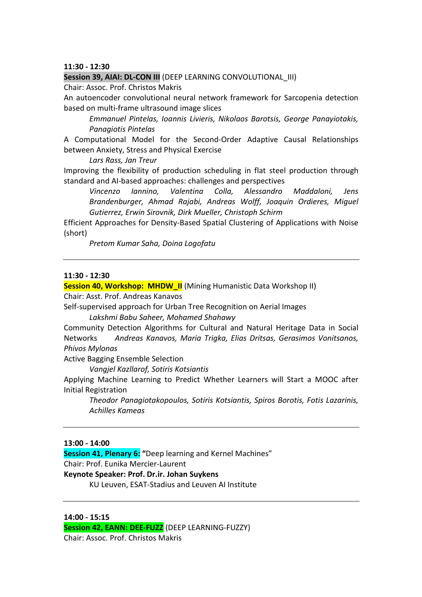**11:30 - 12:30** 

**Session 39, AIAI: DL-CON III** (DEEP LEARNING CONVOLUTIONAL\_III)

Chair: Assoc. Prof. Christos Makris

An autoencoder convolutional neural network framework for Sarcopenia detection based on multi-frame ultrasound image slices

*Emmanuel Pintelas, Ioannis Livieris, Nikolaos Barotsis, George Panayiotakis, Panagiotis Pintelas* 

A Computational Model for the Second-Order Adaptive Causal Relationships between Anxiety, Stress and Physical Exercise

 *Lars Rass, Jan Treur* 

Improving the flexibility of production scheduling in flat steel production through standard and AI-based approaches: challenges and perspectives

*Vincenzo Iannino, Valentina Colla, Alessandro Maddaloni, Jens Brandenburger, Ahmad Rajabi, Andreas Wolff, Joaquin Ordieres, Miguel Gutierrez, Erwin Sirovnik, Dirk Mueller, Christoph Schirm* 

Efficient Approaches for Density-Based Spatial Clustering of Applications with Noise (short)

 *Pretom Kumar Saha, Doina Logofatu* 

# **11:30 - 12:30**

**Session 40, Workshop: MHDW II** (Mining Humanistic Data Workshop II)

Chair: Asst. Prof. Andreas Kanavos

Self-supervised approach for Urban Tree Recognition on Aerial Images

 *Lakshmi Babu Saheer, Mohamed Shahawy* 

Community Detection Algorithms for Cultural and Natural Heritage Data in Social Networks *Andreas Kanavos, Maria Trigka, Elias Dritsas, Gerasimos Vonitsanos, Phivos Mylonas* 

Active Bagging Ensemble Selection

*Vangjel Kazllarof, Sotiris Kotsiantis* 

Applying Machine Learning to Predict Whether Learners will Start a MOOC after Initial Registration

*Theodor Panagiotakopoulos, Sotiris Kotsiantis, Spiros Borotis, Fotis Lazarinis, Achilles Kameas* 

#### **13:00 - 14:00**

**Session 41, Plenary 6: "**Deep learning and Kernel Machines"

Chair: Prof. Eunika Mercier-Laurent

**Keynote Speaker: Prof. Dr.ir. Johan Suykens** 

KU Leuven, ESAT-Stadius and Leuven AI Institute

**14:00 - 15:15** 

**Session 42, EANN: DEE-FUZZ** (DEEP LEARNING-FUZZY)

Chair: Assoc. Prof. Christos Makris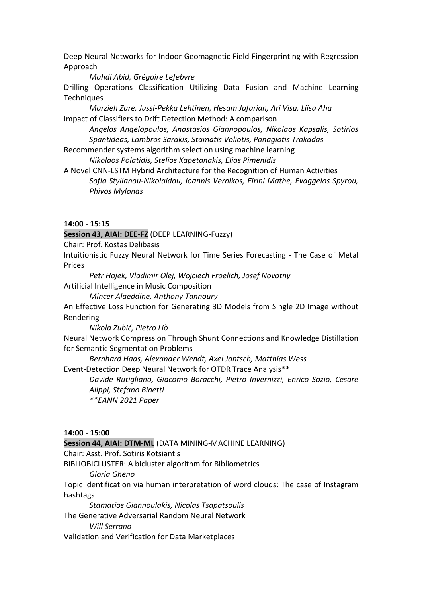Deep Neural Networks for Indoor Geomagnetic Field Fingerprinting with Regression Approach

 *Mahdi Abid, Grégoire Lefebvre* 

Drilling Operations Classification Utilizing Data Fusion and Machine Learning **Techniques** 

 *Marzieh Zare, Jussi-Pekka Lehtinen, Hesam Jafarian, Ari Visa, Liisa Aha*  Impact of Classifiers to Drift Detection Method: A comparison

*Angelos Angelopoulos, Anastasios Giannopoulos, Nikolaos Kapsalis, Sotirios Spantideas, Lambros Sarakis, Stamatis Voliotis, Panagiotis Trakadas* 

Recommender systems algorithm selection using machine learning  *Nikolaos Polatidis, Stelios Kapetanakis, Elias Pimenidis* 

A Novel CNN-LSTM Hybrid Architecture for the Recognition of Human Activities *Sofia Stylianou-Nikolaidou, Ioannis Vernikos, Eirini Mathe, Evaggelos Spyrou, Phivos Mylonas* 

#### **14:00 - 15:15**

**Session 43, AIAI: DEE-FZ** (DEEP LEARNING-Fuzzy)

Chair: Prof. Kostas Delibasis

Intuitionistic Fuzzy Neural Network for Time Series Forecasting - The Case of Metal Prices

*Petr Hajek, Vladimir Olej, Wojciech Froelich, Josef Novotny*  Artificial Intelligence in Music Composition

 *Mincer Alaeddine, Anthony Tannoury* 

An Effective Loss Function for Generating 3D Models from Single 2D Image without Rendering

 *Nikola Zubić, Pietro Liò* 

Neural Network Compression Through Shunt Connections and Knowledge Distillation for Semantic Segmentation Problems

 *Bernhard Haas, Alexander Wendt, Axel Jantsch, Matthias Wess* 

Event-Detection Deep Neural Network for OTDR Trace Analysis\*\*

*Davide Rutigliano, Giacomo Boracchi, Pietro Invernizzi, Enrico Sozio, Cesare Alippi, Stefano Binetti* 

*\*\*EANN 2021 Paper* 

#### **14:00 - 15:00**

**Session 44, AIAI: DTM-ML** (DATA MINING-MACHINE LEARNING)

Chair: Asst. Prof. Sotiris Kotsiantis

BIBLIOBICLUSTER: A bicluster algorithm for Bibliometrics

 *Gloria Gheno* 

Topic identification via human interpretation of word clouds: The case of Instagram hashtags

 *Stamatios Giannoulakis, Nicolas Tsapatsoulis*  The Generative Adversarial Random Neural Network  *Will Serrano* 

Validation and Verification for Data Marketplaces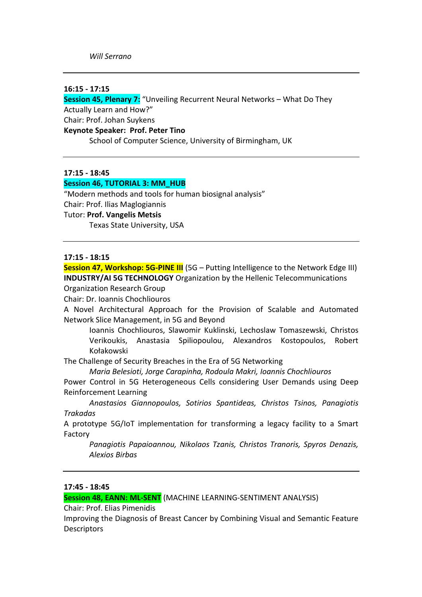# **16:15 - 17:15**

**Session 45, Plenary 7:** "Unveiling Recurrent Neural Networks – What Do They Actually Learn and How?"

Chair: Prof. Johan Suykens

**Keynote Speaker: Prof. Peter Tino** 

School of Computer Science, University of Birmingham, UK

#### **17:15 - 18:45**

#### **Session 46, TUTORIAL 3: MM\_HUB**

"Modern methods and tools for human biosignal analysis" Chair: Prof. Ilias Maglogiannis

Tutor: **Prof. Vangelis Metsis** 

Texas State University, USA

#### **17:15 - 18:15**

**Session 47, Workshop: 5G-PINE III** (5G – Putting Intelligence to the Network Edge III) **INDUSTRY/AI 5G TECHNOLOGY** Organization by the Hellenic Telecommunications

Organization Research Group

Chair: Dr. Ioannis Chochliouros

A Novel Architectural Approach for the Provision of Scalable and Automated Network Slice Management, in 5G and Beyond

Ioannis Chochliouros, Slawomir Kuklinski, Lechoslaw Tomaszewski, Christos Verikoukis, Anastasia Spiliopoulou, Alexandros Kostopoulos, Robert Kołakowski

The Challenge of Security Breaches in the Era of 5G Networking

 *Maria Belesioti, Jorge Carapinha, Rodoula Makri, Ioannis Chochliouros* 

Power Control in 5G Heterogeneous Cells considering User Demands using Deep Reinforcement Learning

 *Anastasios Giannopoulos, Sotirios Spantideas, Christos Tsinos, Panagiotis Trakadas* 

A prototype 5G/IoT implementation for transforming a legacy facility to a Smart Factory

*Panagiotis Papaioannou, Nikolaos Tzanis, Christos Tranoris, Spyros Denazis, Alexios Birbas* 

#### **17:45 - 18:45**

**Session 48, EANN: ML-SENT** (MACHINE LEARNING-SENTIMENT ANALYSIS)

Chair: Prof. Elias Pimenidis

Improving the Diagnosis of Breast Cancer by Combining Visual and Semantic Feature **Descriptors**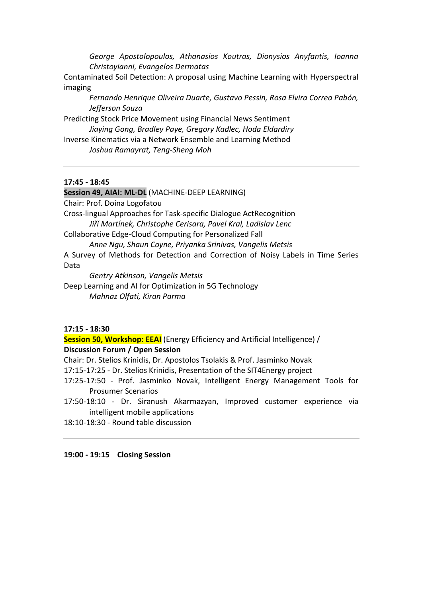*George Apostolopoulos, Athanasios Koutras, Dionysios Anyfantis, Ioanna Christoyianni, Evangelos Dermatas* 

Contaminated Soil Detection: A proposal using Machine Learning with Hyperspectral imaging

*Fernando Henrique Oliveira Duarte, Gustavo Pessin, Rosa Elvira Correa Pabón, Jefferson Souza* 

Predicting Stock Price Movement using Financial News Sentiment *Jiaying Gong, Bradley Paye, Gregory Kadlec, Hoda Eldardiry*  Inverse Kinematics via a Network Ensemble and Learning Method  *Joshua Ramayrat, Teng-Sheng Moh* 

# **17:45 - 18:45**

**Session 49, AIAI: ML-DL** (MACHINE-DEEP LEARNING)

Chair: Prof. Doina Logofatou

Cross-lingual Approaches for Task-specific Dialogue ActRecognition  *Jiří Martínek, Christophe Cerisara, Pavel Kral, Ladislav Lenc* 

Collaborative Edge-Cloud Computing for Personalized Fall

 *Anne Ngu, Shaun Coyne, Priyanka Srinivas, Vangelis Metsis* 

A Survey of Methods for Detection and Correction of Noisy Labels in Time Series Data

 *Gentry Atkinson, Vangelis Metsis*  Deep Learning and AI for Optimization in 5G Technology  *Mahnaz Olfati, Kiran Parma* 

## **17:15 - 18:30**

**Session 50, Workshop: EEAI** (Energy Efficiency and Artificial Intelligence) / **Discussion Forum / Open Session**

Chair: Dr. Stelios Krinidis, Dr. Apostolos Tsolakis & Prof. Jasminko Novak

17:15-17:25 - Dr. Stelios Krinidis, Presentation of the SIT4Energy project

- 17:25-17:50 Prof. Jasminko Novak, Intelligent Energy Management Tools for Prosumer Scenarios
- 17:50-18:10 Dr. Siranush Akarmazyan, Improved customer experience via intelligent mobile applications
- 18:10-18:30 Round table discussion

#### **19:00 - 19:15 Closing Session**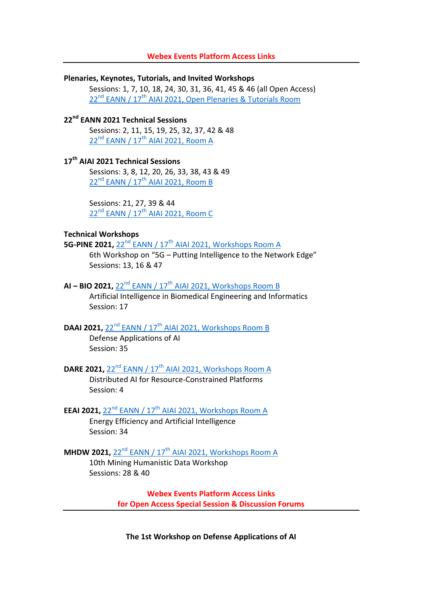#### **Webex Events Platform Access Links**

### **Plenaries, Keynotes, Tutorials, and Invited Workshops**

Sessions: 1, 7, 10, 18, 24, 30, 31, 36, 41, 45 & 46 (all Open Access) 22<sup>nd</sup> EANN / 17<sup>th</sup> AIAI 2021, Open Plenaries & Tutorials Room

# **22nd EANN 2021 Technical Sessions**

Sessions: 2, 11, 15, 19, 25, 32, 37, 42 & 48 22nd EANN / 17th AIAI 2021, Room A

# **17th AIAI 2021 Technical Sessions**

Sessions: 3, 8, 12, 20, 26, 33, 38, 43 & 49 22<sup>nd</sup> EANN / 17<sup>th</sup> AIAI 2021, Room B

Sessions: 21, 27, 39 & 44 22<sup>nd</sup> EANN / 17<sup>th</sup> AIAI 2021, Room C

## **Technical Workshops**

**5G-PINE 2021, 22<sup>nd</sup> EANN / 17<sup>th</sup> AIAI 2021, Workshops Room A** 

6th Workshop on "5G – Putting Intelligence to the Network Edge" Sessions: 13, 16 & 47

# **AI – BIO 2021,** 22nd EANN / 17th AIAI 2021, Workshops Room B

Artificial Intelligence in Biomedical Engineering and Informatics Session: 17

# **DAAI 2021, 22<sup>nd</sup> EANN / 17<sup>th</sup> AIAI 2021, Workshops Room B**

Defense Applications of AI Session: 35

# **DARE 2021, 22<sup>nd</sup> EANN / 17<sup>th</sup> AIAI 2021, Workshops Room A** Distributed AI for Resource-Constrained Platforms Session: 4

**EEAI 2021,** 22<sup>nd</sup> EANN / 17<sup>th</sup> AIAI 2021, Workshops Room A Energy Efficiency and Artificial Intelligence Session: 34

# **MHDW 2021, 22<sup>nd</sup> EANN / 17<sup>th</sup> AIAI 2021, Workshops Room A** 10th Mining Humanistic Data Workshop Sessions: 28 & 40

**Webex Events Platform Access Links for Open Access Special Session & Discussion Forums**

**The 1st Workshop on Defense Applications of AI**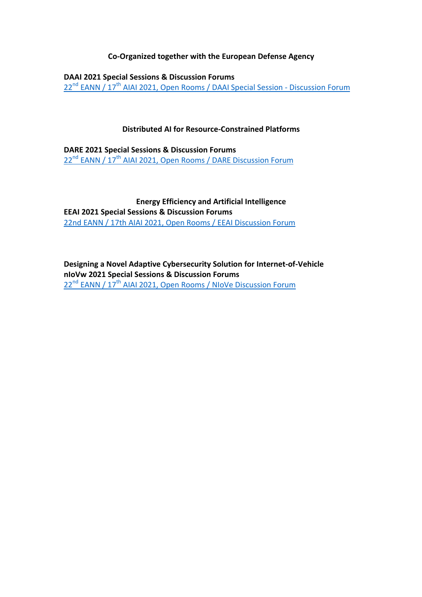# **Co-Organized together with the European Defense Agency**

**DAAI 2021 Special Sessions & Discussion Forums**  22<sup>nd</sup> EANN / 17<sup>th</sup> AIAI 2021, Open Rooms / DAAI Special Session - Discussion Forum

# **Distributed AI for Resource-Constrained Platforms**

**DARE 2021 Special Sessions & Discussion Forums**  22<sup>nd</sup> EANN / 17<sup>th</sup> AIAI 2021, Open Rooms / DARE Discussion Forum

**Energy Efficiency and Artificial Intelligence EEAI 2021 Special Sessions & Discussion Forums**  22nd EANN / 17th AIAI 2021, Open Rooms / EEAI Discussion Forum

**Designing a Novel Adaptive Cybersecurity Solution for Internet-of-Vehicle nIoVw 2021 Special Sessions & Discussion Forums**  22<sup>nd</sup> EANN / 17<sup>th</sup> AIAI 2021, Open Rooms / NIoVe Discussion Forum